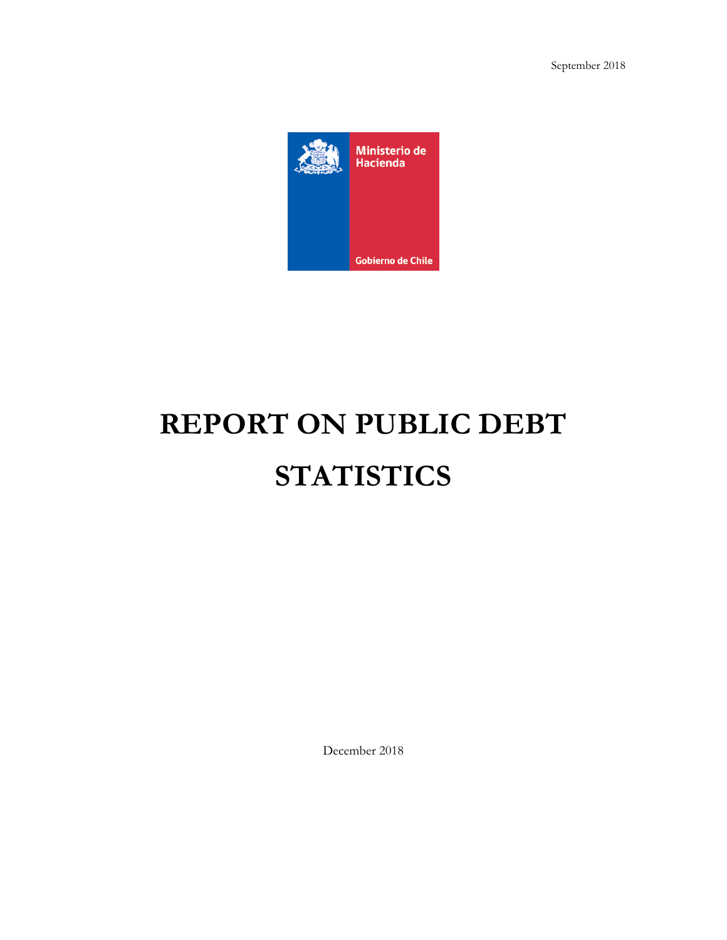

# **REPORT ON PUBLIC DEBT STATISTICS**

December 2018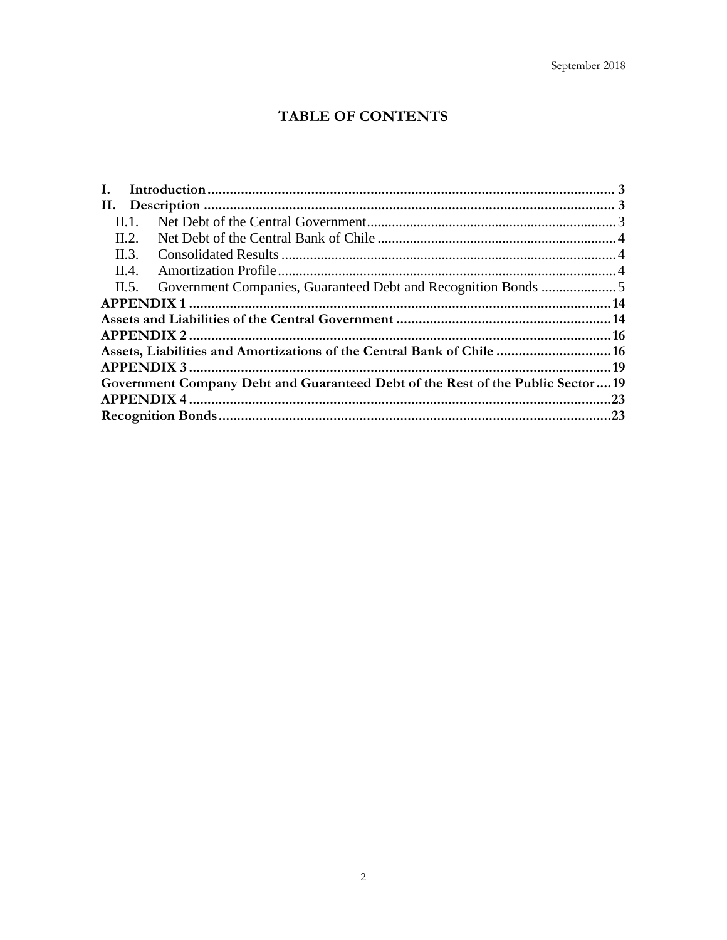# TABLE OF CONTENTS

| Н.             |                                                                                |  |
|----------------|--------------------------------------------------------------------------------|--|
| II. 1.         |                                                                                |  |
| II.2.          |                                                                                |  |
| $\Pi$ .        |                                                                                |  |
| $\mathbf{H}$ . |                                                                                |  |
| $\Pi$ . 5.     |                                                                                |  |
|                |                                                                                |  |
|                |                                                                                |  |
|                |                                                                                |  |
|                | Assets, Liabilities and Amortizations of the Central Bank of Chile  16         |  |
|                |                                                                                |  |
|                | Government Company Debt and Guaranteed Debt of the Rest of the Public Sector19 |  |
|                |                                                                                |  |
|                |                                                                                |  |
|                |                                                                                |  |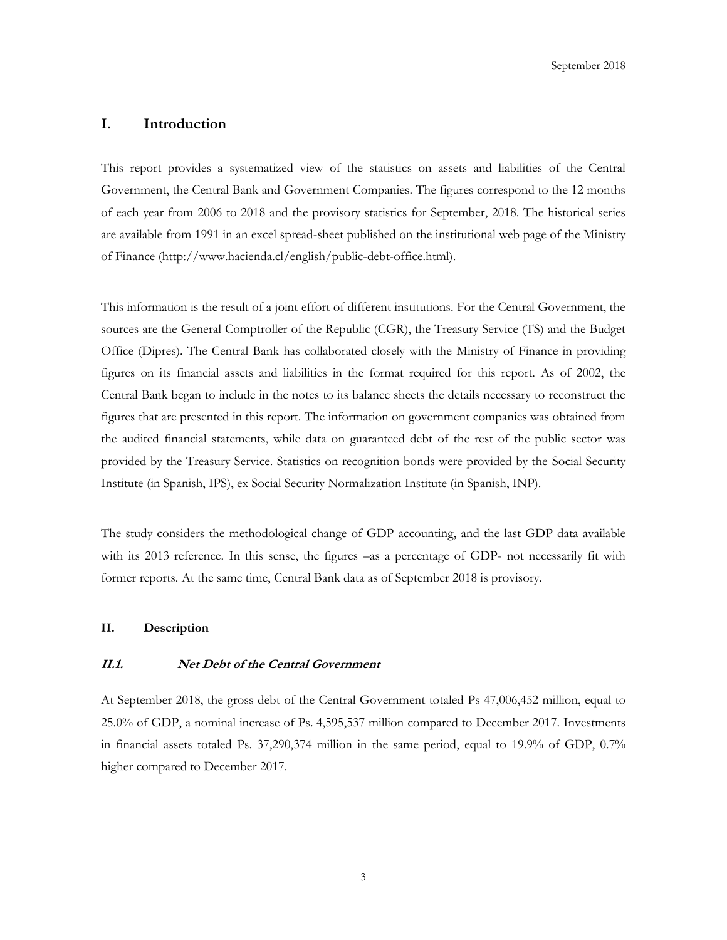### <span id="page-2-0"></span>**I. Introduction**

This report provides a systematized view of the statistics on assets and liabilities of the Central Government, the Central Bank and Government Companies. The figures correspond to the 12 months of each year from 2006 to 2018 and the provisory statistics for September, 2018. The historical series are available from 1991 in an excel spread-sheet published on the institutional web page of the Ministry of Finance (http://www.hacienda.cl/english/public-debt-office.html).

This information is the result of a joint effort of different institutions. For the Central Government, the sources are the General Comptroller of the Republic (CGR), the Treasury Service (TS) and the Budget Office (Dipres). The Central Bank has collaborated closely with the Ministry of Finance in providing figures on its financial assets and liabilities in the format required for this report. As of 2002, the Central Bank began to include in the notes to its balance sheets the details necessary to reconstruct the figures that are presented in this report. The information on government companies was obtained from the audited financial statements, while data on guaranteed debt of the rest of the public sector was provided by the Treasury Service. Statistics on recognition bonds were provided by the Social Security Institute (in Spanish, IPS), ex Social Security Normalization Institute (in Spanish, INP).

The study considers the methodological change of GDP accounting, and the last GDP data available with its 2013 reference. In this sense, the figures –as a percentage of GDP- not necessarily fit with former reports. At the same time, Central Bank data as of September 2018 is provisory.

#### <span id="page-2-1"></span>**II. Description**

#### <span id="page-2-2"></span>**II.1. Net Debt of the Central Government**

At September 2018, the gross debt of the Central Government totaled Ps 47,006,452 million, equal to 25.0% of GDP, a nominal increase of Ps. 4,595,537 million compared to December 2017. Investments in financial assets totaled Ps. 37,290,374 million in the same period, equal to 19.9% of GDP, 0.7% higher compared to December 2017.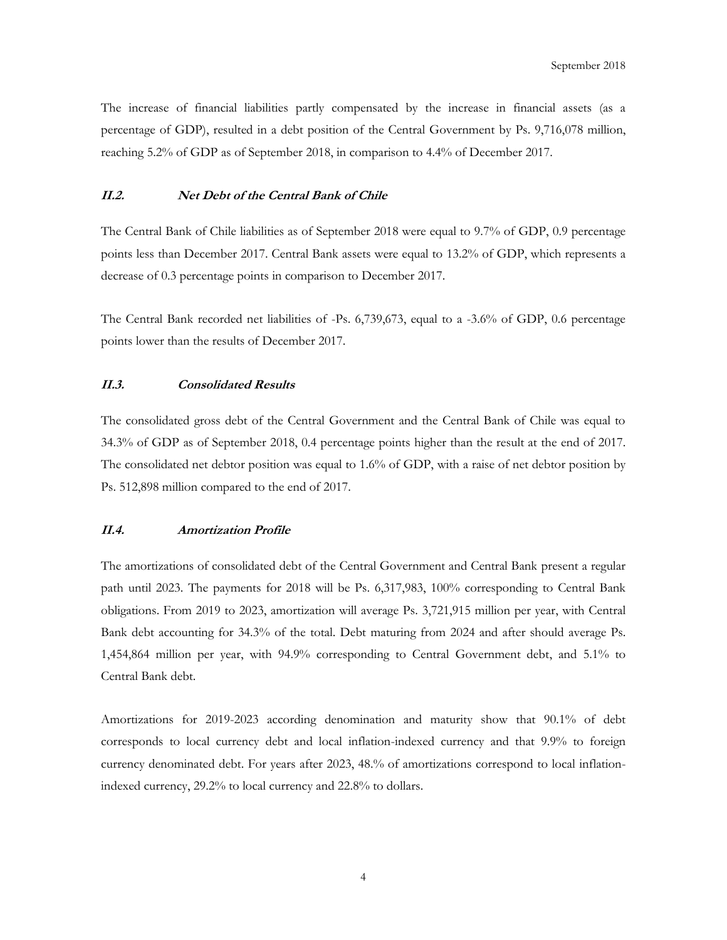The increase of financial liabilities partly compensated by the increase in financial assets (as a percentage of GDP), resulted in a debt position of the Central Government by Ps. 9,716,078 million, reaching 5.2% of GDP as of September 2018, in comparison to 4.4% of December 2017.

#### <span id="page-3-0"></span>**II.2. Net Debt of the Central Bank of Chile**

The Central Bank of Chile liabilities as of September 2018 were equal to 9.7% of GDP, 0.9 percentage points less than December 2017. Central Bank assets were equal to 13.2% of GDP, which represents a decrease of 0.3 percentage points in comparison to December 2017.

The Central Bank recorded net liabilities of -Ps. 6,739,673, equal to a -3.6% of GDP, 0.6 percentage points lower than the results of December 2017.

## <span id="page-3-1"></span>**II.3. Consolidated Results**

The consolidated gross debt of the Central Government and the Central Bank of Chile was equal to 34.3% of GDP as of September 2018, 0.4 percentage points higher than the result at the end of 2017. The consolidated net debtor position was equal to 1.6% of GDP, with a raise of net debtor position by Ps. 512,898 million compared to the end of 2017.

#### <span id="page-3-2"></span>**II.4. Amortization Profile**

The amortizations of consolidated debt of the Central Government and Central Bank present a regular path until 2023. The payments for 2018 will be Ps. 6,317,983, 100% corresponding to Central Bank obligations. From 2019 to 2023, amortization will average Ps. 3,721,915 million per year, with Central Bank debt accounting for 34.3% of the total. Debt maturing from 2024 and after should average Ps. 1,454,864 million per year, with 94.9% corresponding to Central Government debt, and 5.1% to Central Bank debt.

Amortizations for 2019-2023 according denomination and maturity show that 90.1% of debt corresponds to local currency debt and local inflation-indexed currency and that 9.9% to foreign currency denominated debt. For years after 2023, 48.% of amortizations correspond to local inflationindexed currency, 29.2% to local currency and 22.8% to dollars.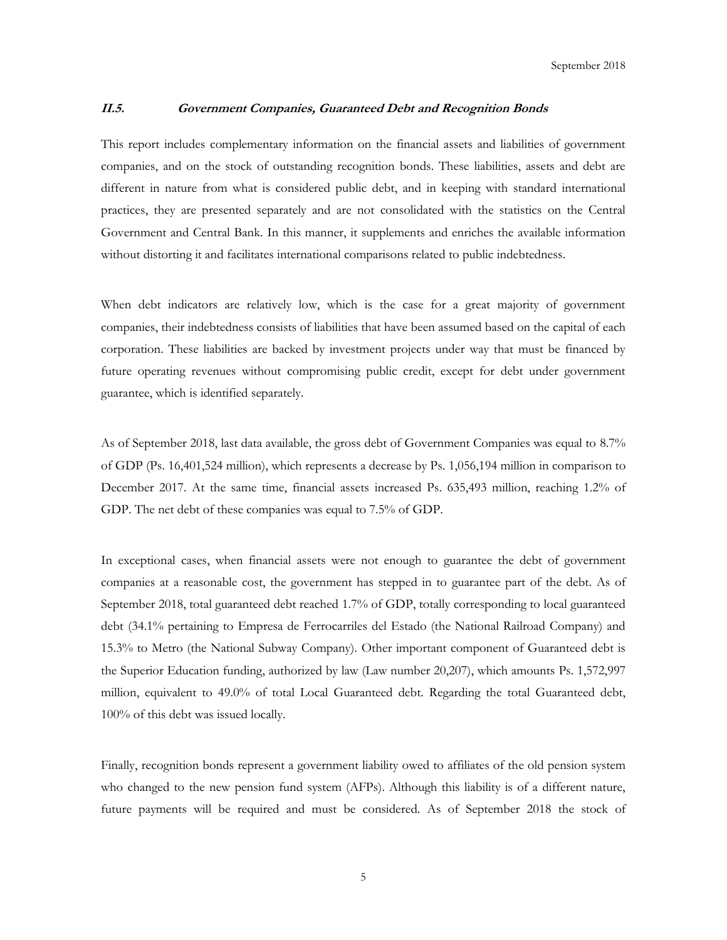#### <span id="page-4-0"></span>**II.5. Government Companies, Guaranteed Debt and Recognition Bonds**

This report includes complementary information on the financial assets and liabilities of government companies, and on the stock of outstanding recognition bonds. These liabilities, assets and debt are different in nature from what is considered public debt, and in keeping with standard international practices, they are presented separately and are not consolidated with the statistics on the Central Government and Central Bank. In this manner, it supplements and enriches the available information without distorting it and facilitates international comparisons related to public indebtedness.

When debt indicators are relatively low, which is the case for a great majority of government companies, their indebtedness consists of liabilities that have been assumed based on the capital of each corporation. These liabilities are backed by investment projects under way that must be financed by future operating revenues without compromising public credit, except for debt under government guarantee, which is identified separately.

As of September 2018, last data available, the gross debt of Government Companies was equal to 8.7% of GDP (Ps. 16,401,524 million), which represents a decrease by Ps. 1,056,194 million in comparison to December 2017. At the same time, financial assets increased Ps. 635,493 million, reaching 1.2% of GDP. The net debt of these companies was equal to 7.5% of GDP.

In exceptional cases, when financial assets were not enough to guarantee the debt of government companies at a reasonable cost, the government has stepped in to guarantee part of the debt. As of September 2018, total guaranteed debt reached 1.7% of GDP, totally corresponding to local guaranteed debt (34.1% pertaining to Empresa de Ferrocarriles del Estado (the National Railroad Company) and 15.3% to Metro (the National Subway Company). Other important component of Guaranteed debt is the Superior Education funding, authorized by law (Law number 20,207), which amounts Ps. 1,572,997 million, equivalent to 49.0% of total Local Guaranteed debt. Regarding the total Guaranteed debt, 100% of this debt was issued locally.

Finally, recognition bonds represent a government liability owed to affiliates of the old pension system who changed to the new pension fund system (AFPs). Although this liability is of a different nature, future payments will be required and must be considered. As of September 2018 the stock of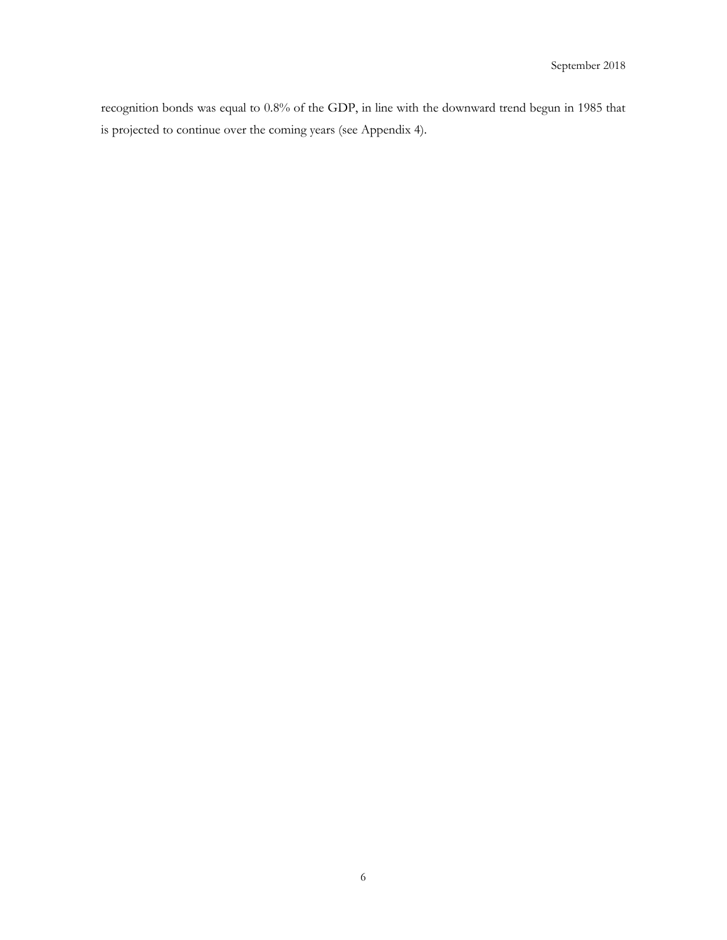recognition bonds was equal to 0.8% of the GDP, in line with the downward trend begun in 1985 that is projected to continue over the coming years (see Appendix 4).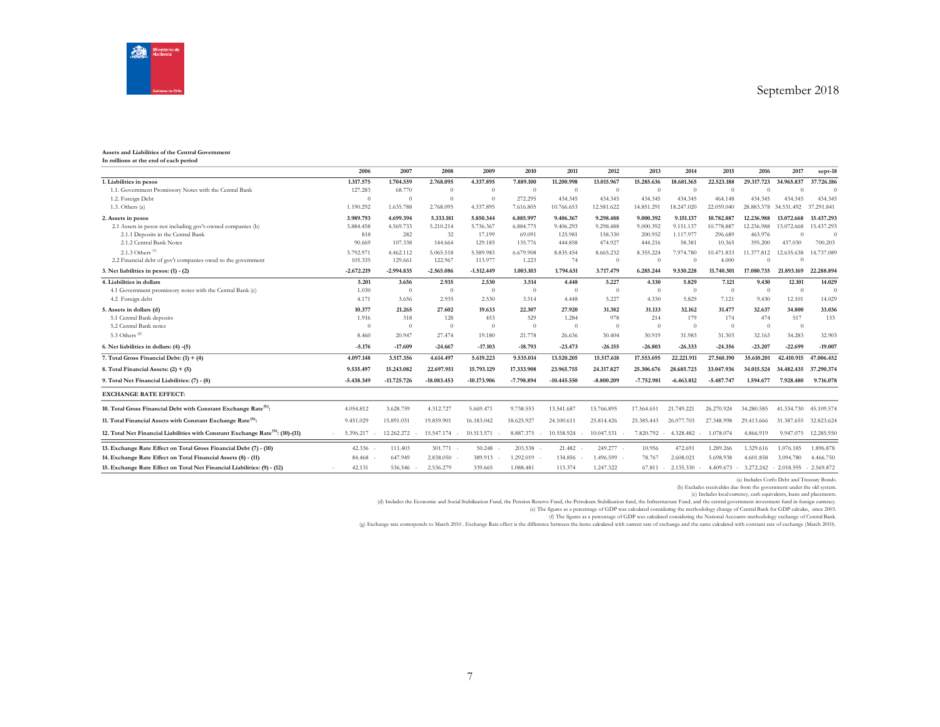

#### **Assets and Liabilities of the Central Government**

| In millions at the end of each period |  |
|---------------------------------------|--|
|---------------------------------------|--|

|                                                                                            | 2006                | 2007          | 2008           | 2009          | 2010         | 2011          | 2012                 | 2013         | 2014                | 2015           | 2016                                          | 2017           | sept-18    |
|--------------------------------------------------------------------------------------------|---------------------|---------------|----------------|---------------|--------------|---------------|----------------------|--------------|---------------------|----------------|-----------------------------------------------|----------------|------------|
| 1. Liabilities in pesos                                                                    | 1.317.575           | 1.704.559     | 2.768.095      | 4.337.895     | 7.889.100    | 11.200.998    | 13.015.967           | 15.285.636   | 18.681.365          | 22,523,188     | 29.317.723                                    | 34.965.837     | 37,726,186 |
| 1.1. Government Promissory Notes with the Central Bank                                     | 127.283             | 68.770        | $\overline{0}$ | $\theta$      | $\theta$     | $\Omega$      | $\theta$             | $\theta$     | $\Omega$            | $\Omega$       | $\Omega$                                      | $\Omega$       | $\Omega$   |
| 1.2. Foreign Debt                                                                          | $\theta$            | $\theta$      | $\Omega$       | $\theta$      | 272.295      | 434.345       | 434.345              | 434.345      | 434.345             | 464.148        | 434.345                                       | 434.345        | 434.345    |
| 1.3. Others(a)                                                                             | 1.190.292           | 1.635.788     | 2.768.095      | 4.337.895     | 7.616.805    | 10.766.653    | 12.581.622           | 14.851.291   | 18.247.020          | 22.059.040     | 28.883.378                                    | 34.531.492     | 37.291.841 |
| 2. Assets in pesos                                                                         | 3.989.793           | 4.699.394     | 5.333.181      | 5.850.344     | 6.885.997    | 9.406.367     | 9.298.488            | 9.000.392    | 9.151.137           | 10,782,887     | 12.236.988                                    | 13.072.668     | 15.437.293 |
| 2.1 Assets in pesos not including gov't-owned companies (b)                                | 3.884.458           | 4.569.733     | 5.210.214      | 5.736.367     | 6.884.775    | 9.406.293     | 9.298.488            | 9.000.392    | 9.151.137           | 10,778,887     | 12.236.988                                    | 13.072.668     | 15.437.293 |
| 2.1.1 Deposits in the Central Bank                                                         | 818                 | 282           | 32             | 17.199        | 69.091       | 125.981       | 158.330              | 200,952      | 1.117.977           | 296.689        | 463.976                                       | $\sqrt{ }$     | $\theta$   |
| 2.1.2 Central Bank Notes                                                                   | 90.669              | 107.338       | 144.664        | 129.185       | 135.776      | 444.858       | 474.927              | 444.216      | 58.381              | 10.365         | 395.200                                       | 437,030        | 700.203    |
| 2.1.3 Others $(c)$                                                                         | 3.792.971           | 4.462.112     | 5.065.518      | 5.589.983     | 6.679.908    | 8.835.454     | 8.665.232            | 8.355.224    | 7.974.780           | 10.471.833     | 11.377.812                                    | 12.635.638     | 14.737.089 |
| 2.2 Financial debt of gov't companies owed to the government                               | 105.335             | 129.661       | 122.967        | 113.977       | 1.223        | 74            | $\theta$             | $\Omega$     | $\sqrt{2}$          | 4.000          |                                               | $\sqrt{ }$     |            |
| 3. Net liabilities in pesos: $(1) - (2)$                                                   | $-2.672.219$        | $-2.994.835$  | $-2.565.086$   | $-1.512.449$  | 1.003.103    | 1.794.631     | 3.717.479            | 6.285.244    | 9.530.228           | 11.740.301     | 17.080.735                                    | 21.893.169     | 22.288.894 |
| 4. Liabilities in dollars                                                                  | 5.201               | 3.656         | 2.935          | 2.530         | 3.514        | 4.448         | 5.227                | 4.330        | 5.829               | 7.121          | 9.430                                         | 12.101         | 14.029     |
| 4.1 Government promissory notes with the Central Bank (c)                                  | 1.030               | $\theta$      | $\Omega$       | $\theta$      | $\theta$     | $\Omega$      | $\theta$             | $\theta$     | $\overline{0}$      | $\overline{0}$ | $\overline{0}$                                | $\overline{0}$ | $\Omega$   |
| 4.2 Foreign debt                                                                           | 4.171               | 3.656         | 2.935          | 2.530         | 3.514        | 4.448         | 5.227                | 4.330        | 5.829               | 7.121          | 9.430                                         | 12.101         | 14.029     |
| 5. Assets in dollars (d)                                                                   | 10.377              | 21.265        | 27.602         | 19.633        | 22.307       | 27,920        | 31.382               | 31.133       | 32.162              | 31.477         | 32.637                                        | 34,800         | 33.036     |
| 5.1 Central Bank deposits                                                                  | 1.916               | 318           | 128            | 453           | 529          | 1.284         | 978                  | 214          | 179                 | 174            | 474                                           | 517            | 133        |
| 5.2 Central Bank notes                                                                     | $\theta$            | $\theta$      | $\overline{0}$ | $\theta$      | $\theta$     | $\Omega$      | $\theta$             | $\theta$     | $\overline{0}$      | $\Omega$       | $\Omega$                                      | $\overline{0}$ |            |
| 5.3 Others (d)                                                                             | 8.460               | 20.947        | 27.474         | 19.180        | 21.778       | 26.636        | 30.404               | 30.919       | 31.983              | 31.303         | 32.163                                        | 34.283         | 32.903     |
| 6. Net liabilities in dollars: (4) -(5)                                                    | $-5.176$            | $-17.609$     | $-24.667$      | $-17.103$     | $-18.793$    | $-23.473$     | $-26.155$            | $-26.803$    | $-26.333$           | $-24.356$      | $-23.207$                                     | $-22.699$      | $-19.007$  |
| 7. Total Gross Financial Debt: $(1) + (4)$                                                 | 4.097.148           | 3.517.356     | 4.614.497      | 5.619.223     | 9.535.014    | 13.520.205    | 15.517.618           | 17.553.695   | 22.221.911          | 27.560.190     | 35.610.201                                    | 42,410.915     | 47.006.452 |
| 8. Total Financial Assets: $(2) + (5)$                                                     | 9.535.497           | 15.243.082    | 22.697.951     | 15.793.129    | 17.333.908   | 23.965.755    | 24.317.827           | 25.306.676   | 28,685,723          | 33.047.936     | 34.015.524                                    | 34.482.435     | 37.290.374 |
| 9. Total Net Financial Liabilities: (7) - (8)                                              | $-5.438.349$        | $-11.725.726$ | $-18.083.453$  | $-10.173.906$ | $-7.798.894$ | $-10.445.550$ | $-8.800.209$         | $-7.752.981$ | $-6.463.812$        | $-5.487.747$   | 1.594.677                                     | 7.928.480      | 9.716.078  |
| <b>EXCHANGE RATE EFFECT:</b>                                                               |                     |               |                |               |              |               |                      |              |                     |                |                                               |                |            |
| 10. Total Gross Financial Debt with Constant Exchange Rate <sup>(h)</sup> :                | 4.054.812           | 3.628.759     | 4.312.727      | 5.669.471     | 9.738.553    | 13.541.687    | 15,766,895           | 17.564.651   | 21,749,221          | 26.270.924     | 34.280.585                                    | 41.334.730     | 45.109.574 |
| 11. Total Financial Assets with Constant Exchange Rate <sup>(h)</sup> :                    | 9.451.029           | 15.891.031    | 19.859.901     | 16.183.042    | 18.625.927   | 24.100.611    | 25.814.426           | 25.385.443   | 26.077.703          | 27.348.998     | 29.413.666                                    | 31.387.655     | 32.823.624 |
| 12. Total Net Financial Liabilities with Constant Exchange Rate <sup>(h)</sup> : (10)-(11) | 5.396.217<br>$\sim$ | 12.262.272    | 15.547.174     | 10.513.571    | 8.887.375    | 10.558.924    | 10.047.531<br>$\sim$ | 7.820.792    | 4.328.482<br>$\sim$ | 1.078.074      | 4.866.919                                     | 9.947.075      | 12.285.950 |
|                                                                                            |                     |               |                |               |              |               |                      |              |                     |                |                                               |                |            |
| 13. Exchange Rate Effect on Total Gross Financial Debt (7) - (10)                          | $42.336 -$          | 111.403       | 301.771        | 50.248        | 203.538      | 21.482        | 249.277 -            | 10.956       | 472.691             | 1.289.266      | 1.329.616                                     | 1.076.185      | 1.896.878  |
| 14. Exchange Rate Effect on Total Financial Assets (8) - (11)                              | 84.468              | 647.949       | 2.838.050      | 389.913       | 1.292.019    | 134.856       | 1.496.599 -          | 78.767       | 2.608.021           | 5.698.938      | 4.601.858                                     | 3.094.780      | 4.466.750  |
| 15. Exchange Rate Effect on Total Net Financial Liabilities: (9) - (12)                    | 42.131              | 536.546       | 2.536.279      | 339.665       | 1.088.481    | 113,374       | 1.247.322            | 67.811       | 2.135.330<br>$\sim$ |                | 4.409.673 - 3.272.242 - 2.018.595 - 2.569.872 |                |            |

(a) Includes Corfo Debt and Treasury Bonds. (b) Excludes receivables due from the government under the old system.

c) Includes local currency, cash equivalents, bans and placements.)<br>(d) Includes the Economic and Social Stabilization Fund, the Pension Reserve Fund, the Petrokum Stabilization fund, the Infrastructure Fund, and the cntra

(g) Exchange rate corresponds to March 2010 . Exchange Rate effect is the difference between the items calculated with current rate of exchange and the same calculated with constant rate of exchange (March 2010).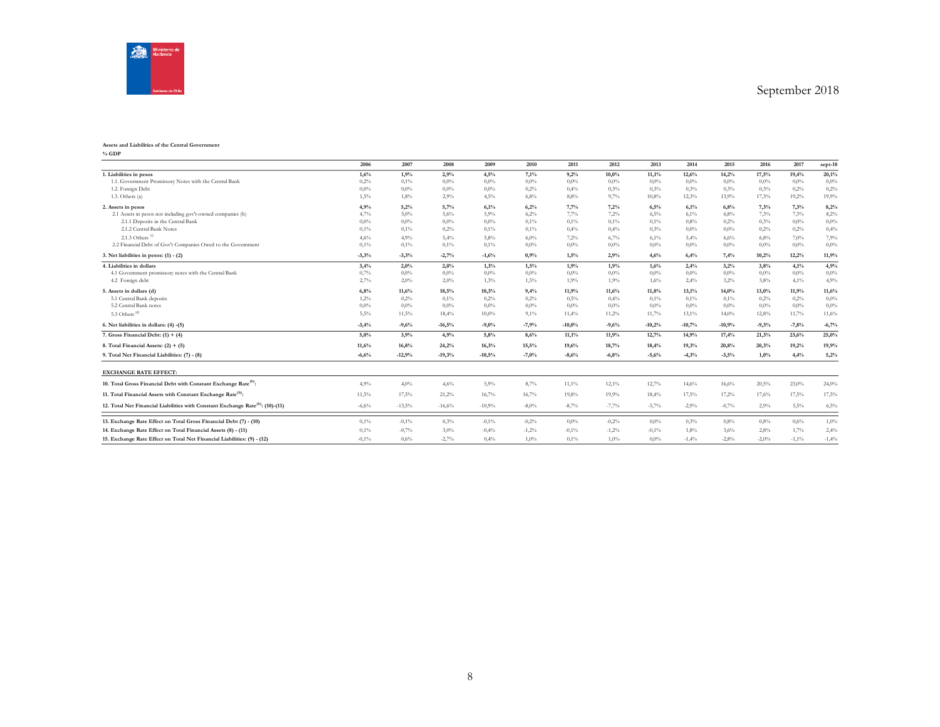

#### **Assets and Liabilities of the Central Government**

**% GDP**

|                                                                                            | 2006     | 2007     | 2008     | 2009     | 2010     | 2011     | 2012    | 2013     | 2014     | 2015     | 2016    | 2017     | $sept-18$ |
|--------------------------------------------------------------------------------------------|----------|----------|----------|----------|----------|----------|---------|----------|----------|----------|---------|----------|-----------|
| 1. Liabilities in pesos                                                                    | 1,6%     | 1,9%     | 2,9%     | 4,5%     | 7,1%     | 9,2%     | 10,0%   | 11,1%    | 12,6%    | 14,2%    | 17,5%   | 19,4%    | 20,1%     |
| 1.1. Government Promissory Notes with the Central Bank                                     | 0,2%     | 0,1%     | 0.0%     | $0.0\%$  | $0,0\%$  | $0.0\%$  | $0,0\%$ | $0.0\%$  | 0.0%     | $0.0\%$  | $0.0\%$ | 0.0%     | $0.0\%$   |
| 1.2. Foreign Debt                                                                          | 0.0%     | $0.0\%$  | 0.0%     | $0.0\%$  | 0,2%     | 0,4%     | 0,3%    | 0.3%     | 0.3%     | 0,3%     | 0.3%    | 0,2%     | 0,2%      |
| $1.3.$ Others $(a)$                                                                        | 1,5%     | $1,8\%$  | 2,9%     | 4,5%     | 6.8%     | 8.8%     | 9,7%    | 10,8%    | 12.3%    | 13,9%    | 17.3%   | 19,2%    | 19,9%     |
| 2. Assets in pesos                                                                         | 4,9%     | 5,2%     | 5,7%     | 6,1%     | 6,2%     | 7,7%     | 7,2%    | 6,5%     | 6,1%     | 6,8%     | 7,3%    | 7,3%     | 8,2%      |
| 2.1 Assets in pesos not including gov't-owned companies (b)                                | 4,7%     | 5,0%     | 5,6%     | 5,9%     | 6,2%     | 7,7%     | 7,2%    | 6,5%     | 6,1%     | 6,8%     | 7.3%    | 7.3%     | 8,2%      |
| 2.1.1 Deposits in the Central Bank                                                         | 0.0%     | $0.0\%$  | $0.0\%$  | $0.0\%$  | 0,1%     | 0,1%     | 0,1%    | 0,1%     | 0.8%     | 0,2%     | 0.3%    | 0.0%     | $0.0\%$   |
| 2.1.2 Central Bank Notes                                                                   | 0,1%     | 0,1%     | 0,2%     | 0,1%     | 0,1%     | 0,4%     | 0,4%    | 0.3%     | $0.0\%$  | 0.0%     | 0.2%    | 0,2%     | 0,4%      |
| 2.1.3 Others $(d)$                                                                         | 4.6%     | 4,9%     | 5,4%     | 5.8%     | $6.0\%$  | 7.2%     | $6.7\%$ | 6,1%     | 5.4%     | 6.6%     | 6,8%    | 7.0%     | 7,9%      |
| 2.2 Financial Debt of Gov't Companies Owed to the Government                               | 0,1%     | 0,1%     | 0,1%     | 0,1%     | $0.0\%$  | $0.0\%$  | $0.0\%$ | $0.0\%$  | $0.0\%$  | 0.0%     | $0.0\%$ | 0.0%     | $0.0\%$   |
| 3. Net liabilities in pesos: (1) - (2)                                                     | $-3,3%$  | $-3,3%$  | $-2,7%$  | $-1,6%$  | 0,9%     | 1,5%     | 2,9%    | 4,6%     | 6,4%     | 7,4%     | 10,2%   | 12,2%    | 11,9%     |
| 4. Liabilities in dollars                                                                  | 3,4%     | 2,0%     | 2,0%     | 1,3%     | 1,5%     | 1,9%     | 1,9%    | 1,6%     | 2,4%     | 3,2%     | 3,8%    | 4,1%     | 4,9%      |
| 4.1 Government promissory notes with the Central Bank                                      | 0,7%     | $0.0\%$  | 0.0%     | $0.0\%$  | $0,0\%$  | $0.0\%$  | $0,0\%$ | 0.0%     | 0.0%     | 0.0%     | 0.0%    | 0.0%     | $0.0\%$   |
| 4.2 Foreign debt                                                                           | 2,7%     | 2,0%     | 2,0%     | 1,3%     | 1,5%     | 1,9%     | 1,9%    | 1,6%     | 2,4%     | 3,2%     | 3.8%    | 4,1%     | 4.9%      |
| 5. Assets in dollars (d)                                                                   | 6,8%     | 11,6%    | 18,5%    | 10,3%    | 9,4%     | 11,9%    | 11,6%   | 11,8%    | 13,1%    | 14,0%    | 13,0%   | 11,9%    | 11,6%     |
| 5.1 Central Bank deposits                                                                  | 1,2%     | 0,2%     | 0,1%     | 0,2%     | 0.2%     | 0.5%     | 0,4%    | 0,1%     | $0.1\%$  | 0,1%     | 0.2%    | 0,2%     | $0.0\%$   |
| 5.2 Central Bank notes                                                                     | 0.0%     | $0.0\%$  | 0.0%     | $0.0\%$  | $0.0\%$  | $0.0\%$  | $0.0\%$ | $0.0\%$  | $0.0\%$  | 0.0%     | $0.0\%$ | $0.0\%$  | $0.0\%$   |
| 5.3 Others <sup>(d)</sup>                                                                  | 5,5%     | 11,5%    | 18,4%    | 10,0%    | 9,1%     | 11,4%    | 11,2%   | 11,7%    | 13,1%    | 14,0%    | 12,8%   | 11,7%    | 11,6%     |
| 6. Net liabilities in dollars: (4) -(5)                                                    | $-3,4%$  | $-9,6%$  | $-16,5%$ | $-9,0%$  | $-7,9%$  | $-10,0%$ | $-9,6%$ | $-10,2%$ | $-10,7%$ | $-10,9%$ | $-9,3%$ | $-7,8%$  | $-6,7%$   |
| 7. Gross Financial Debt: $(1) + (4)$                                                       | 5,0%     | 3,9%     | 4,9%     | 5,8%     | 8,6%     | 11,1%    | 11,9%   | 12,7%    | 14,9%    | 17,4%    | 21,3%   | 23,6%    | 25,0%     |
| 8. Total Financial Assets: $(2) + (5)$                                                     | 11,6%    | 16,8%    | 24,2%    | 16,3%    | 15,5%    | 19,6%    | 18,7%   | 18,4%    | 19,3%    | 20,8%    | 20,3%   | 19,2%    | 19,9%     |
| 9. Total Net Financial Liabilities: (7) - (8)                                              | $-6,6%$  | $-12,9%$ | $-19,3%$ | $-10,5%$ | $-7,0%$  | $-8,6%$  | $-6,8%$ | $-5,6%$  | $-4,3%$  | $-3,5%$  | 1,0%    | 4,4%     | 5,2%      |
| <b>EXCHANGE RATE EFFECT:</b>                                                               |          |          |          |          |          |          |         |          |          |          |         |          |           |
| 10. Total Gross Financial Debt with Constant Exchange Rate <sup>(h)</sup> :                | 4,9%     | $4,0\%$  | 4,6%     | 5,9%     | 8,7%     | 11,1%    | 12,1%   | 12,7%    | 14,6%    | 16,6%    | 20,5%   | 23,0%    | 24,0%     |
| 11. Total Financial Assets with Constant Exchange Rate <sup>(h)</sup> :                    | 11,5%    | 17,5%    | 21,2%    | 16,7%    | 16,7%    | 19,8%    | 19,9%   | 18,4%    | 17,5%    | 17,2%    | 17,6%   | $17,5\%$ | $17,5\%$  |
| 12. Total Net Financial Liabilities with Constant Exchange Rate <sup>(h)</sup> : (10)-(11) | $-6,6\%$ | $-13,5%$ | $-16,6%$ | $-10,9%$ | $-8,0\%$ | $-8,7%$  | $-7,7%$ | $-5,7%$  | $-2.9%$  | $-0,7%$  | 2.9%    | 5,5%     | 6,5%      |
| 13. Exchange Rate Effect on Total Gross Financial Debt (7) - (10)                          | 0,1%     | $-0,1\%$ | 0.3%     | $-0.1\%$ | $-0,2%$  | $0.0\%$  | $-0.2%$ | $0.0\%$  | 0.3%     | 0.8%     | 0.8%    | 0.6%     | $1,0\%$   |
| 14. Exchange Rate Effect on Total Financial Assets (8) - (11)                              | 0,1%     | $-0,7%$  | 3,0%     | $-0,4%$  | $-1,2\%$ | $-0.1%$  | $-1,2%$ | $-0.1%$  | 1.8%     | 3.6%     | 2,8%    | 1,7%     | 2,4%      |
| 15. Exchange Rate Effect on Total Net Financial Liabilities: (9) - (12)                    | $-0.1\%$ | 0,6%     | $-2,7%$  | 0,4%     | $1.0\%$  | $0.1\%$  | $1,0\%$ | $0.0\%$  | $-1.4%$  | $-2.8%$  | $-2,0%$ | $-1,1\%$ | $-1,4%$   |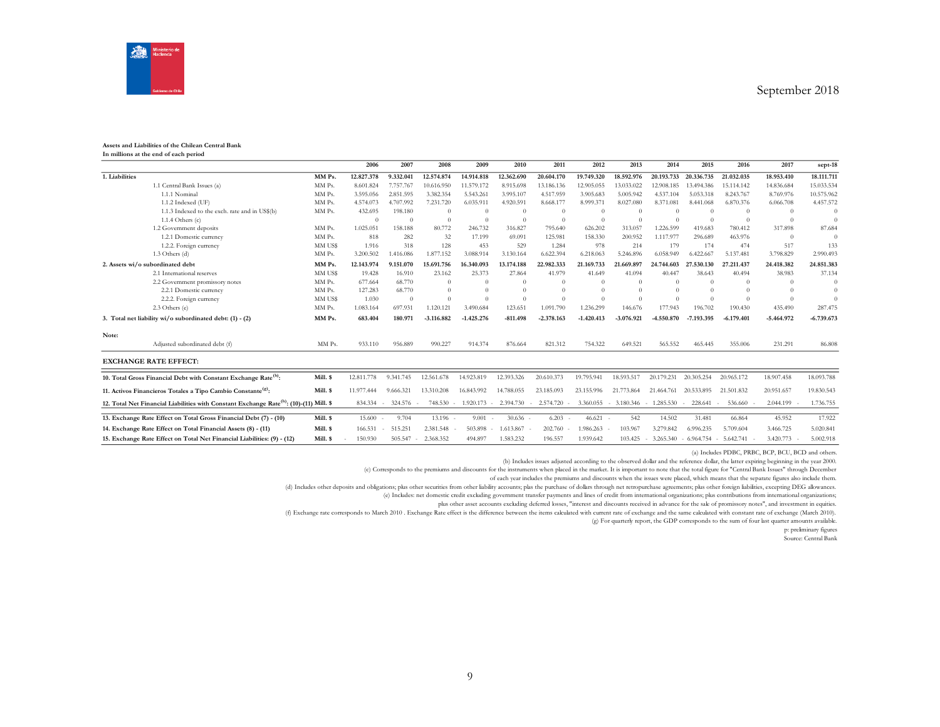

#### **Assets and Liabilities of the Chilean Central Bank In millions at the end of each period**

|                |                                                                                                     |          | 2006       | 2007      | 2008         | 2009         | 2010       | 2011         | 2012         | 2013         | 2014       | 2015         | 2016         | 2017         | sept-18      |
|----------------|-----------------------------------------------------------------------------------------------------|----------|------------|-----------|--------------|--------------|------------|--------------|--------------|--------------|------------|--------------|--------------|--------------|--------------|
| 1. Liabilities |                                                                                                     | MM Ps.   | 12.827.378 | 9.332.041 | 12.574.874   | 14.914.818   | 12.362.690 | 20,604.170   | 19.749.320   | 18.592.976   | 20.193.733 | 20.336.735   | 21.032.035   | 18.953.410   | 18.111.711   |
|                | 1.1 Central Bank Issues (a)                                                                         | MM Ps.   | 8.601.824  | 7.757.767 | 10.616.950   | 11.579.172   | 8.915.698  | 13.186.136   | 12.905.055   | 13.033.022   | 12.908.185 | 13.494.386   | 15.114.142   | 14.836.684   | 15.033.534   |
|                | 1.1.1 Nominal                                                                                       | MM Ps.   | 3.595.056  | 2.851.595 | 3.382.354    | 5.543.261    | 3.995.107  | 4.517.959    | 3.905.683    | 5.005.942    | 4.537.104  | 5.053.318    | 8.243.767    | 8.769.976    | 10.575.962   |
|                | 1.1.2 Indexed (UF)                                                                                  | MM Ps.   | 4.574.073  | 4.707.992 | 7.231.720    | 6.035.911    | 4.920.591  | 8.668.177    | 8.999.371    | 8.027.080    | 8.371.081  | 8.441.068    | 6.870.376    | 6.066.708    | 4.457.572    |
|                | 1.1.3 Indexed to the exch. rate and in US\$(b)                                                      | MM Ps.   | 432.695    | 198.180   | $\Omega$     | $\Omega$     | $\Omega$   | $\theta$     |              |              |            |              | $\Omega$     | $\Omega$     | $\Omega$     |
|                | 1.1.4 Others $(c)$                                                                                  |          | $\Omega$   | $\Omega$  | $\Omega$     | $\Omega$     | $\Omega$   | $\Omega$     | $\sqrt{ }$   |              | $\Omega$   | $\Omega$     | $\Omega$     | $\Omega$     | $\Omega$     |
|                | 1.2 Government deposits                                                                             | MM Ps.   | 1.025.051  | 158.188   | 80,772       | 246.732      | 316.827    | 795.640      | 626.202      | 313,057      | 1.226.599  | 419.683      | 780.412      | 317,898      | 87.684       |
|                | 1.2.1 Domestic currency                                                                             | MM Ps.   | 818        | 282       | 32           | 17.199       | 69,091     | 125.981      | 158,330      | 200.952      | 1.117.977  | 296.689      | 463.976      | $\Omega$     | $\Omega$     |
|                | 1.2.2. Foreign currency                                                                             | MM US\$  | 1.916      | 318       | 128          | 453          | 529        | 1.284        | 978          | 214          | 179        | 174          | 474          | 517          | 133          |
|                | $1.3$ Others $(d)$                                                                                  | MM Ps.   | 3.200.502  | 1.416.086 | 1.877.152    | 3.088.914    | 3.130.164  | 6.622.394    | 6.218.063    | 5.246.896    | 6.058.949  | 6.422.667    | 5.137.481    | 3.798.829    | 2.990.493    |
|                | 2. Assets wi/o subordinated debt                                                                    | MM Ps.   | 12.143.974 | 9.151.070 | 15.691.756   | 16.340.093   | 13.174.188 | 22.982.333   | 21.169.733   | 21.669.897   | 24,744,603 | 27.530.130   | 27.211.437   | 24.418.382   | 24.851.383   |
|                | 2.1 International reserves                                                                          | MM US\$  | 19.428     | 16.910    | 23.162       | 25.373       | 27.864     | 41.979       | 41.649       | 41.094       | 40.447     | 38.643       | 40.494       | 38.983       | 37.134       |
|                | 2.2 Government promissory notes                                                                     | MM Ps.   | 677.664    | 68.770    | $\theta$     | $\Omega$     | $\Omega$   | $\theta$     | $\sqrt{ }$   |              | $\Omega$   | $\Omega$     | $\Omega$     | $\Omega$     | $\Omega$     |
|                | 2.2.1 Domestic currency                                                                             | MM Ps.   | 127.283    | 68.770    | $\Omega$     | $\Omega$     | $\Omega$   | $\theta$     | $\Omega$     | $\Omega$     | $\Omega$   | $\Omega$     |              |              | $\Omega$     |
|                | 2.2.2. Foreign currency                                                                             | MM US\$  | 1.030      | $\Omega$  | $\Omega$     | $\Omega$     | $\Omega$   |              |              | $\Omega$     | $\Omega$   |              | $\Omega$     | $\Omega$     | $\Omega$     |
|                | 2.3 Others (e)                                                                                      | MM Ps.   | 1.083.164  | 697.931   | 1.120.121    | 3.490.684    | 123.651    | 1.091.790    | 1.236.299    | 146.676      | 177,943    | 196.702      | 190.430      | 435.490      | 287.475      |
|                | 3. Total net liability wi/o subordinated debt: (1) - (2)                                            | MM Ps.   | 683.404    | 180.971   | $-3.116.882$ | $-1.425.276$ | $-811.498$ | $-2.378.163$ | $-1.420.413$ | $-3.076.921$ | -4.550.870 | $-7.193.395$ | $-6.179.401$ | $-5.464.972$ | $-6.739.673$ |
| Note:          |                                                                                                     |          |            |           |              |              |            |              |              |              |            |              |              |              |              |
|                | Adjusted subordinated debt (f)                                                                      | MM Ps.   | 933.110    | 956.889   | 990.227      | 914.374      | 876.664    | 821.312      | 754.322      | 649.521      | 565.552    | 465.445      | 355.006      | 231.291      | 86.808       |
|                | <b>EXCHANGE RATE EFFECT:</b>                                                                        |          |            |           |              |              |            |              |              |              |            |              |              |              |              |
|                | 10. Total Gross Financial Debt with Constant Exchange Rate <sup>(h)</sup> :                         | Mill. \$ | 12.811.778 | 9.341.745 | 12.561.678   | 14.923.819   | 12.393.326 | 20.610.373   | 19.795.941   | 18.593.517   | 20.179.231 | 20.305.254   | 20.965.172   | 18.907.458   | 18.093.788   |
|                | 11. Activos Financieros Totales a Tipo Cambio Constante <sup>(g)</sup> :                            | Mill. \$ | 11.977.444 | 9.666.321 | 13.310.208   | 16.843.992   | 14.788.055 | 23.185.093   | 23.155.996   | 21,773,864   | 21.464.761 | 20.533.895   | 21.501.832   | 20.951.657   | 19.830.543   |
|                | 12. Total Net Financial Liabilities with Constant Exchange Rate <sup>(h)</sup> : (10)-(11) Mill. \$ |          | 834.334    | 324.576   | 748.530      | 1.920.173    | 2.394.730  | 2.574.720    | 3.360.055    | 3.180.346    | 1.285.530  | 228.641      | 536.660      | 2.044.199    | 1.736.755    |
|                | 13. Exchange Rate Effect on Total Gross Financial Debt (7) - (10)                                   | Mill. \$ | 15.600     | 9.704     | 13.196 -     | 9.001        | $30.636 -$ | 6.203        | 46.621       | 542          | 14.502     | 31.481       | 66.864       | 45.952       | 17.922       |
|                | 14. Exchange Rate Effect on Total Financial Assets (8) - (11)                                       | Mill. \$ | 166.531    | 515.251   | 2.381.548    | 503.898      | 1.613.867  | 202.760      | .986.263     | 103.967      | 3.279.842  | 6.996.235    | 5.709.604    | 3.466.725    | 5.020.841    |
|                | 15. Exchange Rate Effect on Total Net Financial Liabilities: (9) - (12)                             | Mill. \$ | 150,930    | 505.547   | 2.368.352    | 494.897      | 1.583.232  | 196.557      | 1.939.642    | 103.425      | 3.265.340  | $-6.964.754$ | $-5.642.741$ | 3.420.773    | 5.002.918    |

(a) Includes PDBC, PRBC, BCP, BCU, BCD and others.

(b) Includes issues adjusted according to the observed dollar and the reference dollar, the latter expiring beginning in the year 2000.

(c) Corresponds to the premiums and discounts for the instruments when placed in the market. It is important to note that the total figure for "Central Bank Issues" through December

of each year includes the premiums and discounts when the issues were placed, which means that the separate figures also include them.

(d) Includes other deposits and obligations; plus other securities from other liability accounts; plas the purchase of dollars through net retropurchase agreements; plus other foreign liabilities, excepting DEG allowances.

(e) Includes: net domestic credit excluding government transfer payments and lines of credit from international organizations; plus contributions from international organizations;

plus other asset accounts excluding deferred losses, "interest and discounts received in advance for the sale of promissory notes", and investment in equities.

(f) Exchange rate corresponds to March 2010 . Exchange Rate effect is the difference between the items calculated with current rate of exchange and the same calculated with constant rate of exchange (March 2010).

(g) For quarterly report, the GDP corresponds to the sum of four last quarter amounts available.

p: preliminary figures

Source: Central Bank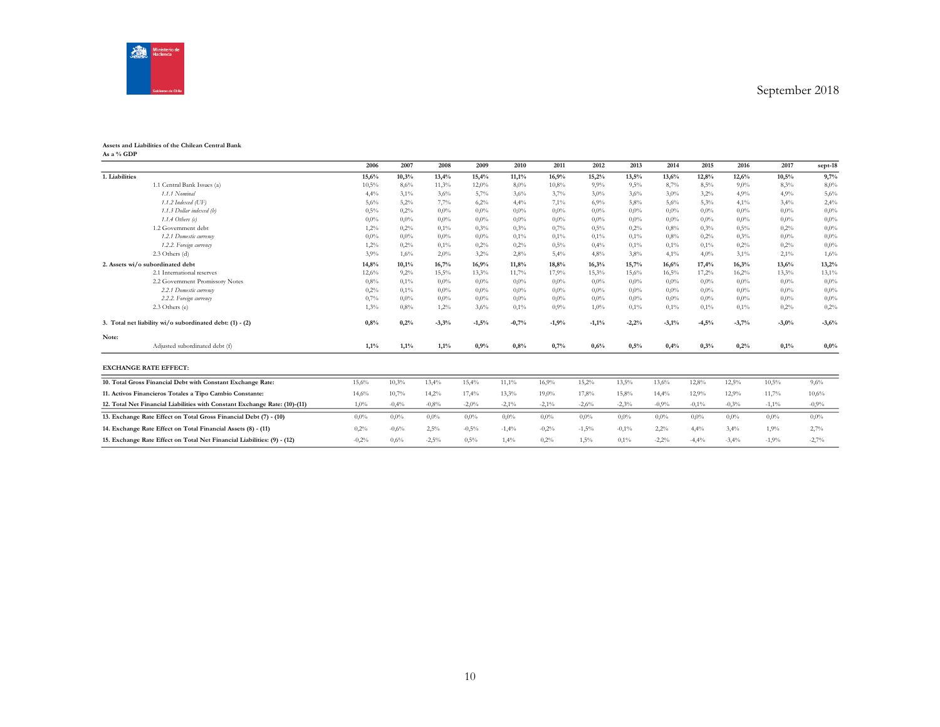

#### **Assets and Liabilities of the Chilean Central Bank As a % GDP**

|                |                                                                            | 2006    | 2007    | 2008    | 2009    | 2010    | 2011     | 2012    | 2013    | 2014    | 2015     | 2016    | 2017     | sept-18 |
|----------------|----------------------------------------------------------------------------|---------|---------|---------|---------|---------|----------|---------|---------|---------|----------|---------|----------|---------|
| 1. Liabilities |                                                                            | 15,6%   | 10,3%   | 13,4%   | 15,4%   | 11,1%   | 16,9%    | 15,2%   | 13,5%   | 13,6%   | 12,8%    | 12,6%   | 10.5%    | 9,7%    |
|                | 1.1 Central Bank Issues (a)                                                | 10,5%   | 8,6%    | 11,3%   | 12,0%   | 8,0%    | 10,8%    | 9.9%    | 9,5%    | 8,7%    | 8,5%     | 9,0%    | 8.3%     | 8,0%    |
|                | 1.1.1 Nominal                                                              | 4,4%    | 3,1%    | 3,6%    | 5,7%    | 3,6%    | 3,7%     | 3,0%    | 3,6%    | 3,0%    | 3,2%     | 4,9%    | 4,9%     | 5,6%    |
|                | 1.1.2 Indexed (UF)                                                         | 5,6%    | 5,2%    | 7,7%    | 6,2%    | 4,4%    | 7,1%     | 6,9%    | 5,8%    | 5,6%    | 5,3%     | 4,1%    | 3,4%     | 2,4%    |
|                | 1.1.3 Dollar indexed (b)                                                   | 0,5%    | 0,2%    | $0.0\%$ | $0.0\%$ | $0.0\%$ | $0.0\%$  | $0.0\%$ | $0.0\%$ | $0.0\%$ | $0.0\%$  | $0.0\%$ | $0.0\%$  | $0.0\%$ |
|                | 1.1.4 Others $(c)$                                                         | $0.0\%$ | 0.0%    | $0.0\%$ | $0.0\%$ | $0.0\%$ | $0.0\%$  | $0.0\%$ | $0.0\%$ | $0.0\%$ | 0.0%     | $0.0\%$ | $0.0\%$  | $0.0\%$ |
|                | 1.2 Government debt                                                        | 1,2%    | 0,2%    | $0.1\%$ | 0,3%    | 0.3%    | 0,7%     | 0,5%    | 0,2%    | 0.8%    | 0,3%     | 0.5%    | 0.2%     | 0.0%    |
|                | 1.2.1 Domestic currency                                                    | $0.0\%$ | 0.0%    | $0.0\%$ | $0.0\%$ | 0,1%    | 0,1%     | 0,1%    | 0,1%    | 0.8%    | 0,2%     | 0.3%    | $0.0\%$  | $0.0\%$ |
|                | 1.2.2. Foreign currency                                                    | 1,2%    | 0,2%    | $0.1\%$ | 0,2%    | 0,2%    | 0,5%     | 0,4%    | 0,1%    | 0,1%    | 0,1%     | 0,2%    | 0.2%     | $0.0\%$ |
|                | $2.3$ Others (d)                                                           | 3,9%    | 1,6%    | 2,0%    | 3,2%    | 2,8%    | 5,4%     | 4.8%    | 3,8%    | 4,1%    | 4,0%     | 3,1%    | 2,1%     | 1,6%    |
|                | 2. Assets wi/o subordinated debt                                           | 14,8%   | 10,1%   | 16,7%   | 16,9%   | 11,8%   | 18,8%    | 16,3%   | 15,7%   | 16,6%   | 17,4%    | 16,3%   | 13,6%    | 13,2%   |
|                | 2.1 International reserves                                                 | 12,6%   | 9,2%    | 15,5%   | 13,3%   | 11,7%   | 17,9%    | 15,3%   | 15,6%   | 16,5%   | 17,2%    | 16,2%   | 13,3%    | 13,1%   |
|                | 2.2 Government Promissory Notes                                            | 0,8%    | 0,1%    | $0.0\%$ | $0.0\%$ | $0.0\%$ | $0.0\%$  | $0.0\%$ | $0.0\%$ | $0.0\%$ | $0.0\%$  | $0.0\%$ | $0.0\%$  | $0.0\%$ |
|                | 2.2.1 Domestic currency                                                    | 0,2%    | 0,1%    | $0.0\%$ | $0.0\%$ | $0.0\%$ | $0.0\%$  | $0.0\%$ | $0.0\%$ | $0.0\%$ | 0,0%     | $0.0\%$ | $0.0\%$  | $0.0\%$ |
|                | 2.2.2. Foreign currency                                                    | 0,7%    | 0.0%    | $0.0\%$ | $0.0\%$ | $0.0\%$ | $0.0\%$  | $0.0\%$ | $0.0\%$ | $0.0\%$ | $0.0\%$  | $0.0\%$ | $0.0\%$  | $0.0\%$ |
|                | 2.3 Others (e)                                                             | 1,3%    | 0.8%    | 1,2%    | 3,6%    | 0,1%    | 0.9%     | 1,0%    | 0,1%    | 0,1%    | 0,1%     | 0,1%    | 0.2%     | 0,2%    |
|                | 3. Total net liability wi/o subordinated debt: (1) - (2)                   | 0,8%    | 0,2%    | $-3,3%$ | $-1,5%$ | $-0,7%$ | $-1,9%$  | $-1,1%$ | $-2,2%$ | $-3,1%$ | $-4,5%$  | $-3,7%$ | $-3,0%$  | $-3,6%$ |
| Note:          |                                                                            |         |         |         |         |         |          |         |         |         |          |         |          |         |
|                | Adjusted subordinated debt (f)                                             | 1,1%    | 1,1%    | 1,1%    | 0,9%    | 0,8%    | 0,7%     | 0,6%    | 0,5%    | 0,4%    | 0,3%     | 0,2%    | 0,1%     | $0.0\%$ |
|                | <b>EXCHANGE RATE EFFECT:</b>                                               |         |         |         |         |         |          |         |         |         |          |         |          |         |
|                | 10. Total Gross Financial Debt with Constant Exchange Rate:                | 15,6%   | 10,3%   | 13,4%   | 15,4%   | 11,1%   | 16,9%    | 15,2%   | 13,5%   | 13,6%   | 12,8%    | 12,5%   | 10,5%    | 9,6%    |
|                | 11. Activos Financieros Totales a Tipo Cambio Constante:                   | 14,6%   | 10,7%   | 14,2%   | 17,4%   | 13,3%   | $19,0\%$ | 17,8%   | 15,8%   | 14,4%   | 12,9%    | 12,9%   | 11,7%    | 10,6%   |
|                | 12. Total Net Financial Liabilities with Constant Exchange Rate: (10)-(11) | 1,0%    | $-0.4%$ | $-0.8%$ | $-2,0%$ | $-2,1%$ | $-2,1%$  | $-2,6%$ | $-2,3%$ | $-0.9%$ | $-0,1\%$ | $-0.3%$ | $-1,1\%$ | $-0,9%$ |
|                | 13. Exchange Rate Effect on Total Gross Financial Debt (7) - (10)          | $0.0\%$ | $0.0\%$ | $0.0\%$ | $0.0\%$ | $0.0\%$ | $0.0\%$  | $0.0\%$ | $0.0\%$ | $0.0\%$ | $0.0\%$  | $0.0\%$ | $0.0\%$  | $0.0\%$ |
|                | 14. Exchange Rate Effect on Total Financial Assets (8) - (11)              | 0,2%    | $-0.6%$ | 2,5%    | $-0,5%$ | $-1,4%$ | $-0,2%$  | $-1,5%$ | $-0.1%$ | 2,2%    | 4,4%     | 3,4%    | 1,9%     | 2,7%    |
|                | 15. Exchange Rate Effect on Total Net Financial Liabilities: (9) - (12)    | $-0.2%$ | 0,6%    | $-2,5%$ | 0.5%    | 1,4%    | 0.2%     | 1,5%    | 0,1%    | $-2,2%$ | $-4,4%$  | $-3,4%$ | $-1,9%$  | $-2,7%$ |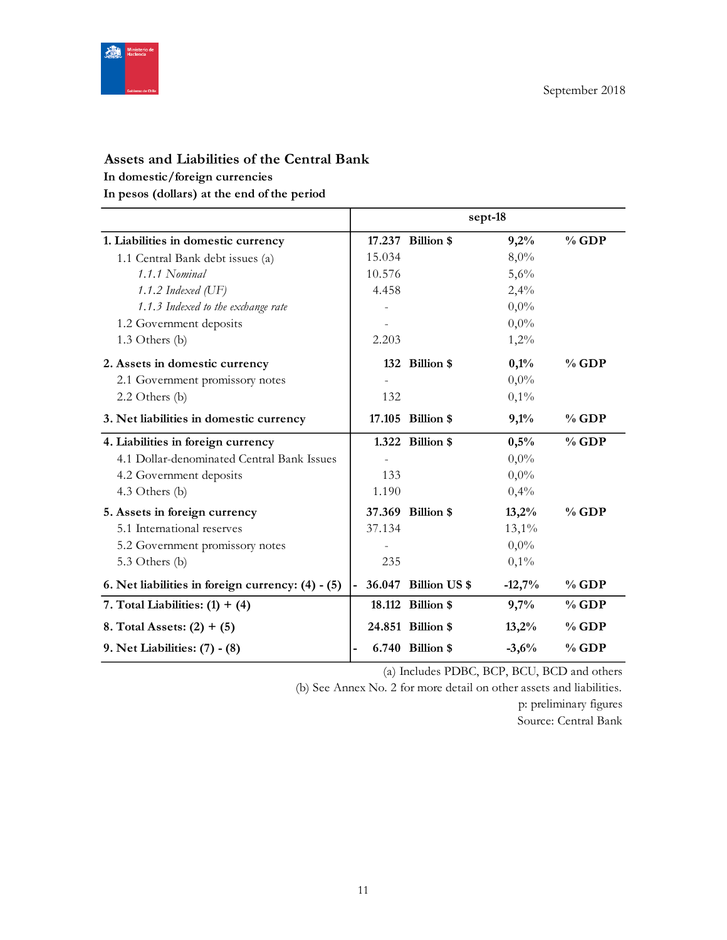

# **Assets and Liabilities of the Central Bank**

**In domestic/foreign currencies**

**In pesos (dollars) at the end of the period**

|                                                   |                |                      | sept-18  |          |
|---------------------------------------------------|----------------|----------------------|----------|----------|
| 1. Liabilities in domestic currency               |                | 17.237 Billion \$    | 9,2%     | $%$ GDP  |
| 1.1 Central Bank debt issues (a)                  | 15.034         |                      | 8,0%     |          |
| 1.1.1 Nominal                                     | 10.576         |                      | 5,6%     |          |
| 1.1.2 Indexed (UF)                                | 4.458          |                      | 2,4%     |          |
| 1.1.3 Indexed to the exchange rate                |                |                      | $0,0\%$  |          |
| 1.2 Government deposits                           |                |                      | $0,0\%$  |          |
| 1.3 Others (b)                                    | 2.203          |                      | 1,2%     |          |
| 2. Assets in domestic currency                    |                | 132 Billion \$       | 0,1%     | $%$ GDP  |
| 2.1 Government promissory notes                   |                |                      | $0,0\%$  |          |
| $2.2$ Others (b)                                  | 132            |                      | 0,1%     |          |
| 3. Net liabilities in domestic currency           |                | 17.105 Billion \$    | 9,1%     | $%$ GDP  |
| 4. Liabilities in foreign currency                |                | 1.322 Billion \$     | 0,5%     | $%$ GDP  |
| 4.1 Dollar-denominated Central Bank Issues        |                |                      | $0,0\%$  |          |
| 4.2 Government deposits                           | 133            |                      | $0,0\%$  |          |
| 4.3 Others (b)                                    | 1.190          |                      | 0,4%     |          |
| 5. Assets in foreign currency                     |                | 37.369 Billion \$    | 13,2%    | $\%$ GDP |
| 5.1 International reserves                        | 37.134         |                      | $13,1\%$ |          |
| 5.2 Government promissory notes                   |                |                      | $0,0\%$  |          |
| 5.3 Others (b)                                    | 235            |                      | 0,1%     |          |
| 6. Net liabilities in foreign currency: (4) - (5) | $\overline{a}$ | 36.047 Billion US \$ | $-12,7%$ | $%$ GDP  |
| 7. Total Liabilities: $(1) + (4)$                 |                | 18.112 Billion \$    | 9,7%     | $%$ GDP  |
| 8. Total Assets: $(2) + (5)$                      |                | 24.851 Billion \$    | 13,2%    | $%$ GDP  |
| 9. Net Liabilities: (7) - (8)                     |                | 6.740 Billion \$     | $-3,6%$  | $%$ GDP  |

(a) Includes PDBC, BCP, BCU, BCD and others

(b) See Annex No. 2 for more detail on other assets and liabilities.

p: preliminary figures

Source: Central Bank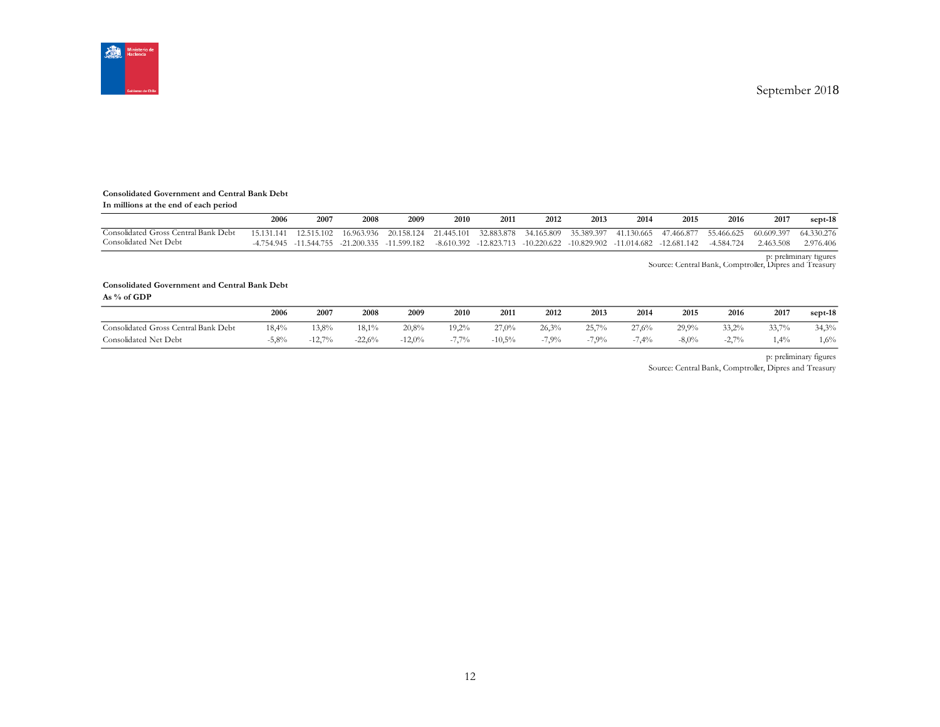

#### **Consolidated Government and Central Bank Debt**

| In millions at the end of each period |  |  |  |  |
|---------------------------------------|--|--|--|--|
|---------------------------------------|--|--|--|--|

|                                      | 2006       | 2007       | 2008                    | 2009        | 2010         | 201        | 2012                    | 2013                  | 2014          | 2015        | 2016       | 2017       | sept-18    |
|--------------------------------------|------------|------------|-------------------------|-------------|--------------|------------|-------------------------|-----------------------|---------------|-------------|------------|------------|------------|
| Consolidated Gross Central Bank Debt | 15.131.141 | 12.515.102 | 16.963.936              | 20.158.124  | 21.445.101   | 32.883.878 |                         | 34.165.809 35.389.397 | 41.130.665    | 47.466.877  | 55.466.625 | 60.609.397 | 64.330.276 |
| Consolidated Net Debt                | 1754945    |            | -11.544.755 -21.200.335 | -11.599.182 | $-8.610.392$ |            | -12.823.713 -10.220.622 | $-10.829.902$         | $-11.014.682$ | -12.681.142 | -4.584.724 | 2.463.508  | 2.976.406  |

p: preliminary figures Source: Central Bank, Comptroller, Dipres and Treasury

#### **Consolidated Government and Central Bank Debt**

**As % of GDP**

|                                      | 2006  | 2007     | 2008     | 2009     | 2010     | 2011      | 2012    | 2013    | 2014    | 2015    | 2016             | 2017    | sept-18 |
|--------------------------------------|-------|----------|----------|----------|----------|-----------|---------|---------|---------|---------|------------------|---------|---------|
| Consolidated Gross Central Bank Debt | 18.4% | $13.8\%$ | 18.1%    | 20,8%    | $19.2\%$ | 27.0%     | 26.3%   | 25.7%   | 27.6%   | 29.9%   | $33.2\%$         | 33,7%   | 34,3%   |
| Consolidated Net Debt                | 5.8%  | $-12,7%$ | $-22,6%$ | $-12,0%$ | $7.7\%$  | $-10.5\%$ | $-7,9%$ | $-7,9%$ | $-7,4%$ | $-8,0%$ | 2.70%<br>$-L, L$ | $4.4\%$ | $1,6\%$ |

p: preliminary figures

Source: Central Bank, Comptroller, Dipres and Treasury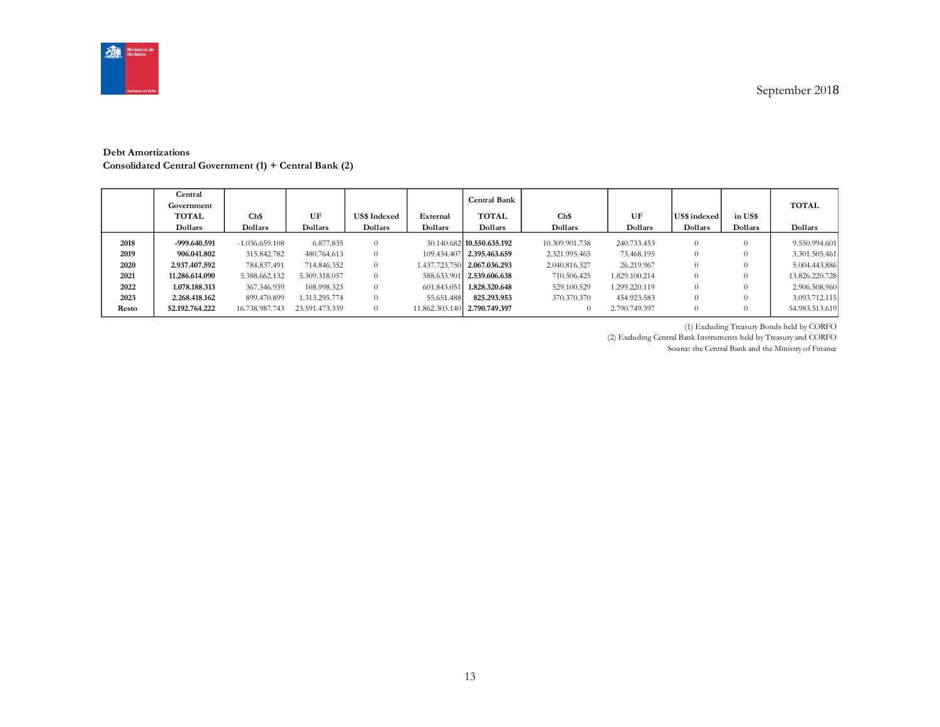

#### **Debt Amortizations Consolidated Central Government (1) + Central Bank (2)**

|                              | Central<br>Government<br>TOTAL<br>Dollars                      | Ch\$<br>Dollars                                                | UF<br>Dollars                                            | <b>US\$</b> Indexed<br>Dollars | External<br>Dollars       | <b>Central Bank</b><br><b>TOTAL</b><br>Dollars                                                                     | Ch\$<br>Dollars                                                 | UF<br>Dollars                                            | US\$ indexed<br>Dollars | in US\$<br>Dollars | <b>TOTAL</b><br>Dollars                                           |
|------------------------------|----------------------------------------------------------------|----------------------------------------------------------------|----------------------------------------------------------|--------------------------------|---------------------------|--------------------------------------------------------------------------------------------------------------------|-----------------------------------------------------------------|----------------------------------------------------------|-------------------------|--------------------|-------------------------------------------------------------------|
| 2018<br>2019<br>2020<br>2021 | -999.640.591<br>906.041.802<br>2.937.407.592<br>11.286.614.090 | $-1.0366559108$<br>315.842.782<br>784.837.491<br>5.388.662.132 | 6.877.835<br>480.764.613<br>714.846.352<br>5.309.318.057 | 0<br>0<br>0.<br>0.             |                           | 30.140.682 10.550.635.192<br>109.434.407 2.395.463.659<br>1.437.723.750 2.067.036.293<br>588.633.901 2.539.606.638 | 10.309.901.738<br>2.321.995.465<br>2.040.816.327<br>710.506.425 | 240.733.453<br>73.468.195<br>26.219.967<br>1.829.100.214 | $\Omega$<br>0<br>0<br>0 | 0                  | 9.550.994.601<br>3.301.505.461<br>5.004.443.886<br>13.826.220.728 |
| 2022<br>2023<br>Resto        | 1.078.188.313<br>2.268.418.162<br>52.192.764.222               | 367.346.939<br>899.470.899<br>16.738.987.743                   | 108.998.323<br>1.313.295.774<br>23.591.473.339           | 0.<br>0.<br>$\Omega$           | 601.843.051<br>55.651.488 | 1.828.320.648<br>825.293.953<br>11.862.303.140 2.790.749.397                                                       | 529.100.529<br>370,370,370                                      | 1.299.220.119<br>454.923.583<br>2.790.749.397            | 0<br>0<br>0             | 0<br>0             | 2.906.508.960<br>3.093.712.115<br>54.983.513.619                  |

(1) Excluding Treasury Bonds held by CORFO

(2) Excluding Central Bank Instruments held by Treasury and CORFO Source: the Central Bank and the Ministry of Finance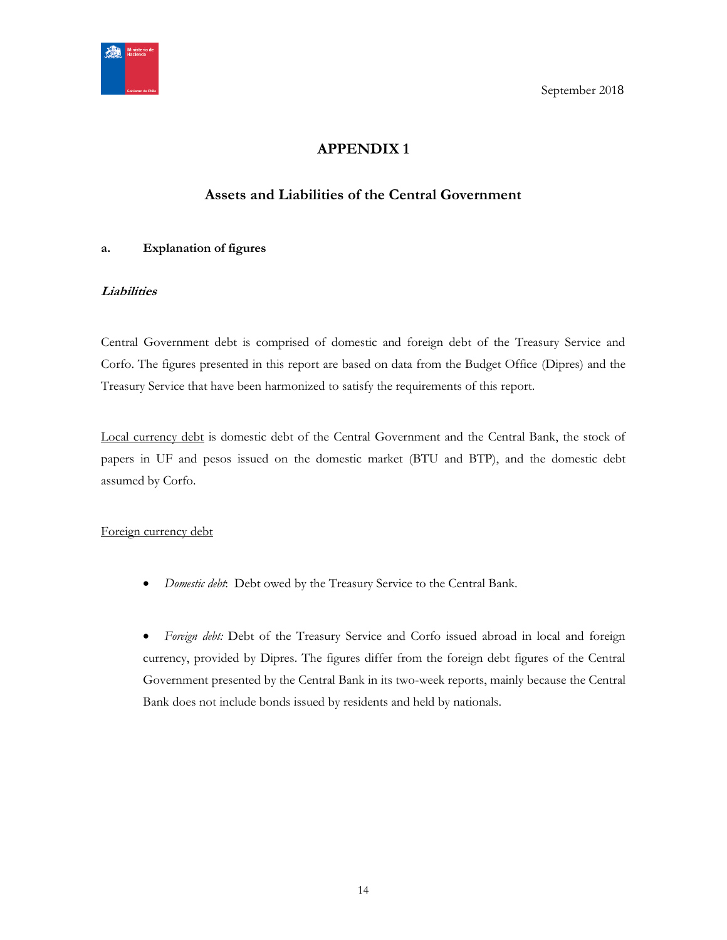<span id="page-13-0"></span>

# **APPENDIX 1**

# **Assets and Liabilities of the Central Government**

## <span id="page-13-1"></span>**a. Explanation of figures**

## **Liabilities**

Central Government debt is comprised of domestic and foreign debt of the Treasury Service and Corfo. The figures presented in this report are based on data from the Budget Office (Dipres) and the Treasury Service that have been harmonized to satisfy the requirements of this report.

Local currency debt is domestic debt of the Central Government and the Central Bank, the stock of papers in UF and pesos issued on the domestic market (BTU and BTP), and the domestic debt assumed by Corfo.

## Foreign currency debt

*Domestic debt*: Debt owed by the Treasury Service to the Central Bank.

 *Foreign debt:* Debt of the Treasury Service and Corfo issued abroad in local and foreign currency, provided by Dipres. The figures differ from the foreign debt figures of the Central Government presented by the Central Bank in its two-week reports, mainly because the Central Bank does not include bonds issued by residents and held by nationals.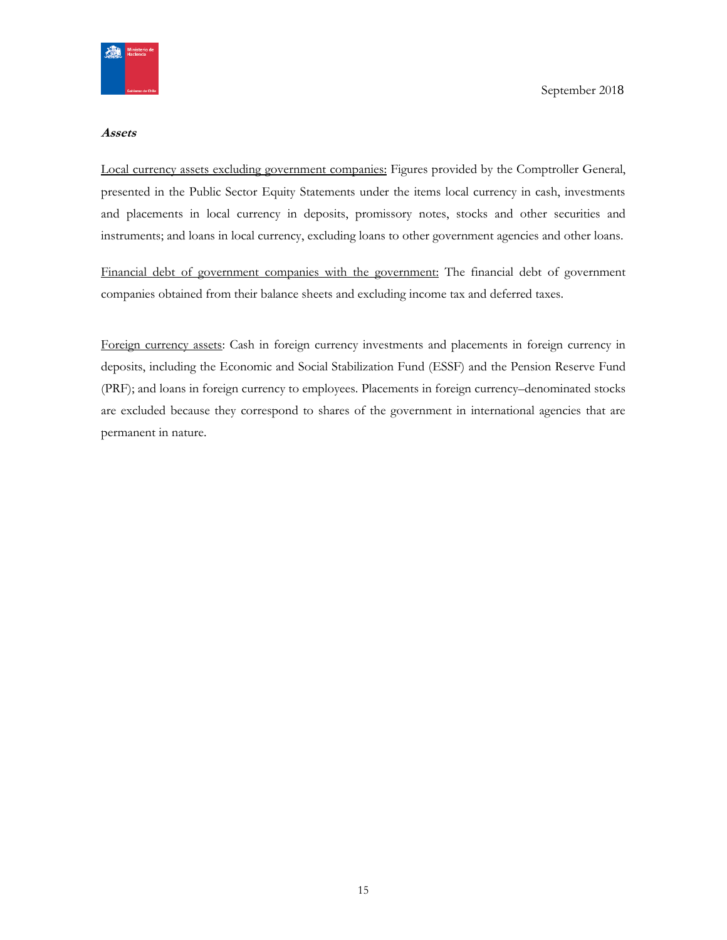

#### **Assets**

Local currency assets excluding government companies: Figures provided by the Comptroller General, presented in the Public Sector Equity Statements under the items local currency in cash, investments and placements in local currency in deposits, promissory notes, stocks and other securities and instruments; and loans in local currency, excluding loans to other government agencies and other loans.

Financial debt of government companies with the government: The financial debt of government companies obtained from their balance sheets and excluding income tax and deferred taxes.

Foreign currency assets: Cash in foreign currency investments and placements in foreign currency in deposits, including the Economic and Social Stabilization Fund (ESSF) and the Pension Reserve Fund (PRF); and loans in foreign currency to employees. Placements in foreign currency–denominated stocks are excluded because they correspond to shares of the government in international agencies that are permanent in nature.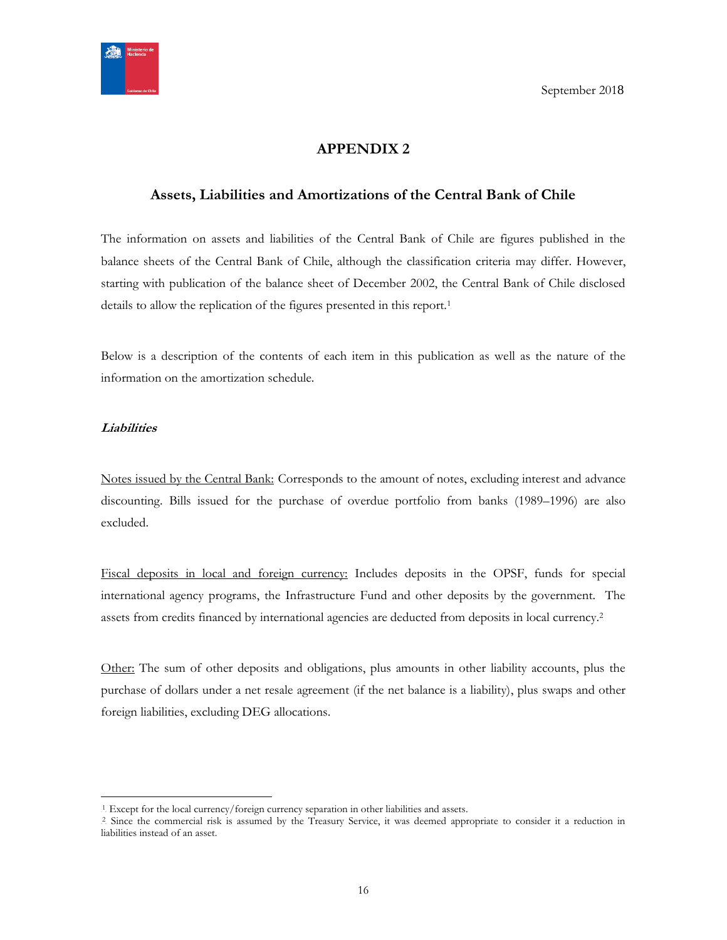

# **APPENDIX 2**

## <span id="page-15-1"></span><span id="page-15-0"></span>**Assets, Liabilities and Amortizations of the Central Bank of Chile**

The information on assets and liabilities of the Central Bank of Chile are figures published in the balance sheets of the Central Bank of Chile, although the classification criteria may differ. However, starting with publication of the balance sheet of December 2002, the Central Bank of Chile disclosed details to allow the replication of the figures presented in this report.<sup>1</sup>

Below is a description of the contents of each item in this publication as well as the nature of the information on the amortization schedule.

#### **Liabilities**

 $\overline{a}$ 

Notes issued by the Central Bank: Corresponds to the amount of notes, excluding interest and advance discounting. Bills issued for the purchase of overdue portfolio from banks (1989–1996) are also excluded.

Fiscal deposits in local and foreign currency: Includes deposits in the OPSF, funds for special international agency programs, the Infrastructure Fund and other deposits by the government. The assets from credits financed by international agencies are deducted from deposits in local currency.<sup>2</sup>

Other: The sum of other deposits and obligations, plus amounts in other liability accounts, plus the purchase of dollars under a net resale agreement (if the net balance is a liability), plus swaps and other foreign liabilities, excluding DEG allocations.

<sup>&</sup>lt;sup>1</sup>. Except for the local currency/foreign currency separation in other liabilities and assets.

<sup>&</sup>lt;sup>2</sup> Since the commercial risk is assumed by the Treasury Service, it was deemed appropriate to consider it a reduction in liabilities instead of an asset.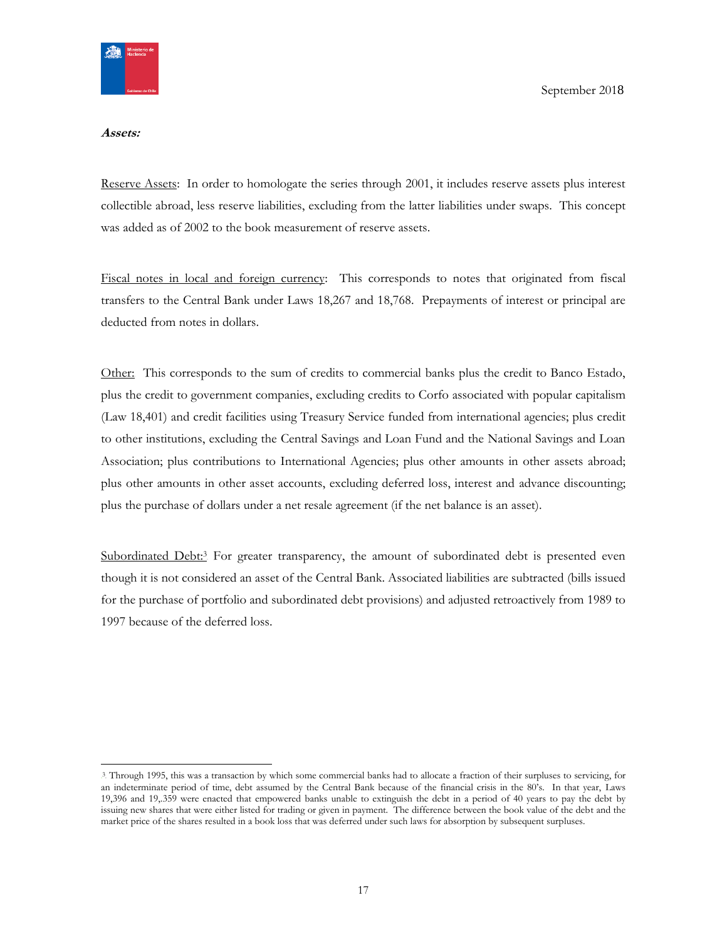

#### **Assets:**

Reserve Assets: In order to homologate the series through 2001, it includes reserve assets plus interest collectible abroad, less reserve liabilities, excluding from the latter liabilities under swaps. This concept was added as of 2002 to the book measurement of reserve assets.

Fiscal notes in local and foreign currency: This corresponds to notes that originated from fiscal transfers to the Central Bank under Laws 18,267 and 18,768. Prepayments of interest or principal are deducted from notes in dollars.

Other: This corresponds to the sum of credits to commercial banks plus the credit to Banco Estado, plus the credit to government companies, excluding credits to Corfo associated with popular capitalism (Law 18,401) and credit facilities using Treasury Service funded from international agencies; plus credit to other institutions, excluding the Central Savings and Loan Fund and the National Savings and Loan Association; plus contributions to International Agencies; plus other amounts in other assets abroad; plus other amounts in other asset accounts, excluding deferred loss, interest and advance discounting; plus the purchase of dollars under a net resale agreement (if the net balance is an asset).

Subordinated Debt:<sup>3</sup> For greater transparency, the amount of subordinated debt is presented even though it is not considered an asset of the Central Bank. Associated liabilities are subtracted (bills issued for the purchase of portfolio and subordinated debt provisions) and adjusted retroactively from 1989 to 1997 because of the deferred loss.

<sup>3</sup> Through 1995, this was a transaction by which some commercial banks had to allocate a fraction of their surpluses to servicing, for an indeterminate period of time, debt assumed by the Central Bank because of the financial crisis in the 80's. In that year, Laws 19,396 and 19,.359 were enacted that empowered banks unable to extinguish the debt in a period of 40 years to pay the debt by issuing new shares that were either listed for trading or given in payment. The difference between the book value of the debt and the market price of the shares resulted in a book loss that was deferred under such laws for absorption by subsequent surpluses.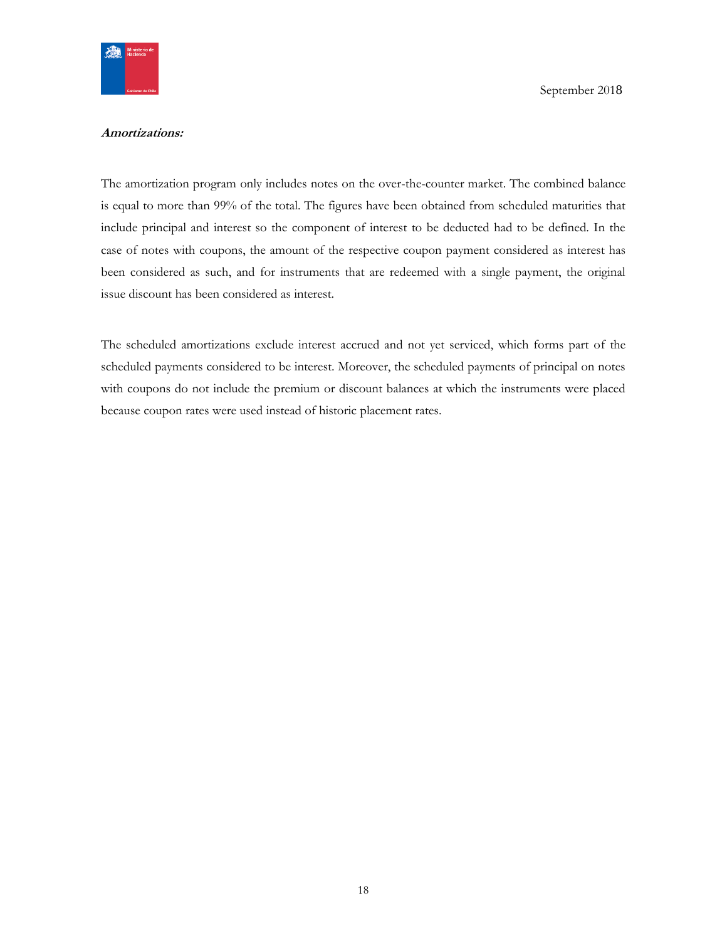

#### **Amortizations:**

The amortization program only includes notes on the over-the-counter market. The combined balance is equal to more than 99% of the total. The figures have been obtained from scheduled maturities that include principal and interest so the component of interest to be deducted had to be defined. In the case of notes with coupons, the amount of the respective coupon payment considered as interest has been considered as such, and for instruments that are redeemed with a single payment, the original issue discount has been considered as interest.

The scheduled amortizations exclude interest accrued and not yet serviced, which forms part of the scheduled payments considered to be interest. Moreover, the scheduled payments of principal on notes with coupons do not include the premium or discount balances at which the instruments were placed because coupon rates were used instead of historic placement rates.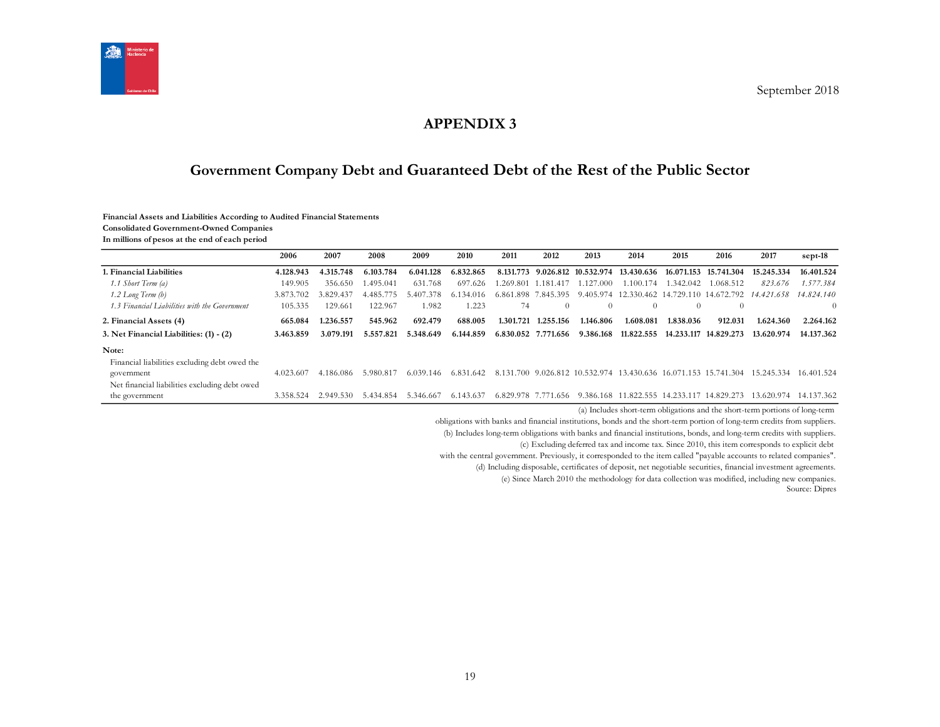

# **APPENDIX 3**

# **Government Company Debt and Guaranteed Debt of the Rest of the Public Sector**

#### **Financial Assets and Liabilities According to Audited Financial Statements**

**Consolidated Government-Owned Companies**

**In millions of pesos at the end of each period**

<span id="page-18-1"></span><span id="page-18-0"></span>

|                                                                                                              | 2006      | 2007      | 2008      | 2009          | 2010      | 2011      | 2012                | 2013                 | 2014                                       | 2015       | 2016                                       | 2017                                                                                  | sept-18        |
|--------------------------------------------------------------------------------------------------------------|-----------|-----------|-----------|---------------|-----------|-----------|---------------------|----------------------|--------------------------------------------|------------|--------------------------------------------|---------------------------------------------------------------------------------------|----------------|
| 1. Financial Liabilities                                                                                     | 4.128.943 | 4.315.748 | 6.103.784 | 6.041.128     | 6.832.865 | 8.131.773 |                     | 9.026.812 10.532.974 | 13.430.636                                 | 16.071.153 | 15.741.304                                 | 15.245.334                                                                            | 16.401.524     |
| 1.1 Short Term (a)                                                                                           | 149.905   | 356.650   | .495.041  | 631.768       | 697.626   |           | .269.801 1.181.417  | 1.127.000            | 1.100.174                                  | .342.042   | 1.068.512                                  | 823.676                                                                               | 1.577.384      |
| $1.2$ Long Term $(b)$                                                                                        | 3.873.702 | 3.829.437 | 4.485.775 | 5.407.378     | 6.134.016 |           | 6.861.898 7.845.395 |                      |                                            |            | 9.405.974 12.330.462 14.729.110 14.672.792 | 14.421.658                                                                            | 14.824.140     |
| 1.3 Financial Liabilities with the Government                                                                | 105.335   | 129.661   | 122.967   | 1.982         | 1.223     | 74        | $\theta$            | $\Omega$             | 0                                          | $\theta$   |                                            |                                                                                       | $\overline{0}$ |
| 2. Financial Assets (4)                                                                                      | 665.084   | l.236.557 | 545.962   | 692.479       | 688.005   | 1.301.721 | .255.156            | 1.146.806            | 1.608.081                                  | 1.838.036  | 912.031                                    | 1.624.360                                                                             | 2.264.162      |
| 3. Net Financial Liabilities: (1) - (2)                                                                      | 3.463.859 | 3.079.191 | 5.557.821 | 5.348.649     | 6.144.859 |           | 6.830.052 7.771.656 | 9.386.168            | 11.822.555                                 | 14.233.117 | 14.829.273                                 | 13.620.974                                                                            | 14.137.362     |
| Note:                                                                                                        |           |           |           |               |           |           |                     |                      |                                            |            |                                            |                                                                                       |                |
| Financial liabilities excluding debt owed the<br>government<br>Net financial liabilities excluding debt owed | 4.023.607 | 4.186.086 | 5.980.817 | 6.039<br>.146 | 6.831.642 |           |                     |                      |                                            |            |                                            | 8.131.700 9.026.812 10.532.974 13.430.636 16.071.153 15.741.304 15.245.334 16.401.524 |                |
| the government                                                                                               | 3.358.524 | 2.949.530 | 5.434.854 | 5.346.667     | 6.143.637 |           | 6.829.978 7.771.656 |                      | 9.386.168 11.822.555 14.233.117 14.829.273 |            |                                            | 13.620.974 14.137.362                                                                 |                |

(a) Includes short-term obligations and the short-term portions of long-term

obligations with banks and financial institutions, bonds and the short-term portion of long-term credits from suppliers.

(b) Includes long-term obligations with banks and financial institutions, bonds, and long-term credits with suppliers.

(c) Excluding deferred tax and income tax. Since 2010, this item corresponds to explicit debt

with the central government. Previously, it corresponded to the item called "payable accounts to related companies".

(d) Including disposable, certificates of deposit, net negotiable securities, financial investment agreements.

(e) Since March 2010 the methodology for data collection was modified, including new companies.

Source: Dipres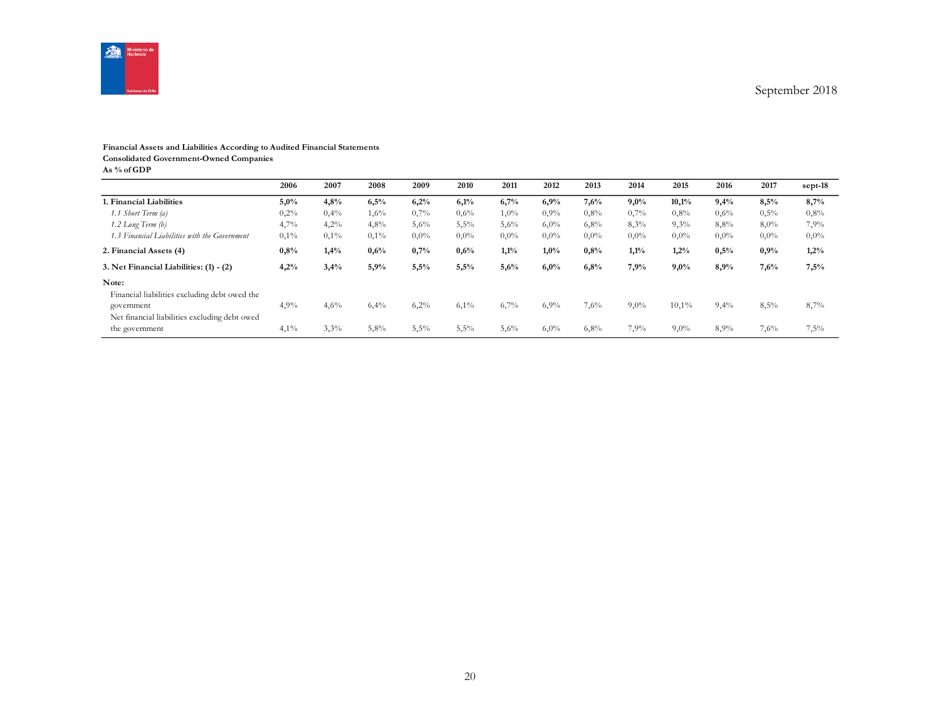

#### **Financial Assets and Liabilities According to Audited Financial Statements**

**Consolidated Government-Owned Companies**

**As % of GDP**

|                                               | 2006 | 2007    | 2008 | 2009    | 2010    | 2011    | 2012    | 2013    | 2014    | 2015    | 2016    | 2017    | sept-18 |
|-----------------------------------------------|------|---------|------|---------|---------|---------|---------|---------|---------|---------|---------|---------|---------|
| 1. Financial Liabilities                      | 5,0% | 4,8%    | 6,5% | 6,2%    | 6,1%    | 6,7%    | 6,9%    | 7,6%    | 9,0%    | 10,1%   | 9,4%    | 8,5%    | 8,7%    |
| 1.1 Short Term (a)                            | 0,2% | 0,4%    | 1,6% | 0,7%    | 0,6%    | $1,0\%$ | $0.9\%$ | $0.8\%$ | 0,7%    | $0.8\%$ | 0,6%    | 0,5%    | 0,8%    |
| $1.2$ Long Term $(b)$                         | 4,7% | 4,2%    | 4,8% | 5,6%    | 5,5%    | 5,6%    | 6,0%    | 6,8%    | 8,3%    | 9,3%    | 8,8%    | 8,0%    | 7,9%    |
| 1.3 Financial Liabilities with the Government | 0,1% | $0.1\%$ | 0,1% | $0.0\%$ | $0.0\%$ | $0.0\%$ | $0.0\%$ | $0.0\%$ | $0,0\%$ | $0.0\%$ | $0.0\%$ | $0.0\%$ | $0,0\%$ |
| 2. Financial Assets (4)                       | 0,8% | 1,4%    | 0,6% | 0,7%    | 0,6%    | 1,1%    | 1,0%    | 0.8%    | 1,1%    | 1,2%    | 0.5%    | 0,9%    | 1,2%    |
| 3. Net Financial Liabilities: (1) - (2)       | 4,2% | 3,4%    | 5,9% | 5,5%    | 5,5%    | 5,6%    | 6,0%    | 6,8%    | 7.9%    | 9,0%    | 8,9%    | 7,6%    | 7,5%    |
| Note:                                         |      |         |      |         |         |         |         |         |         |         |         |         |         |
| Financial liabilities excluding debt owed the |      |         |      |         |         |         |         |         |         |         |         |         |         |
| government                                    | 4,9% | 4,6%    | 6,4% | 6,2%    | $6,1\%$ | 6,7%    | 6,9%    | 7,6%    | $9,0\%$ | 10,1%   | 9,4%    | 8,5%    | 8,7%    |
| Net financial liabilities excluding debt owed |      |         |      |         |         |         |         |         |         |         |         |         |         |
| the government                                | 4,1% | 3,3%    | 5,8% | 5,5%    | 5,5%    | 5,6%    | 6,0%    | 6,8%    | 7,9%    | $9,0\%$ | 8,9%    | 7,6%    | 7,5%    |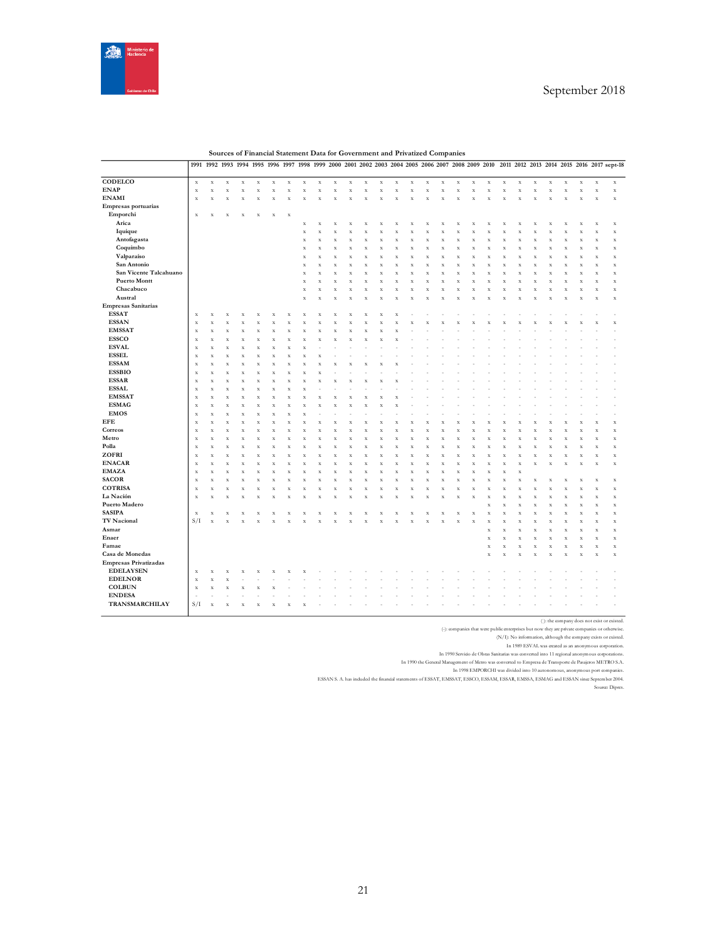

|                              |             |             | 1991 1992 1993 1994 1995 1996 1997 1998 1999 2000 2001 2002 2003 2004 2005 2006 2007 2008 2009 2010 |             |             |           |             |                    |                         |           |             |                    |             |                    |   |                         |           |             |             |                         |             |             |                         |             |                    |                    |                    | 2011 2012 2013 2014 2015 2016 2017 sept-18 |
|------------------------------|-------------|-------------|-----------------------------------------------------------------------------------------------------|-------------|-------------|-----------|-------------|--------------------|-------------------------|-----------|-------------|--------------------|-------------|--------------------|---|-------------------------|-----------|-------------|-------------|-------------------------|-------------|-------------|-------------------------|-------------|--------------------|--------------------|--------------------|--------------------------------------------|
|                              |             |             |                                                                                                     |             |             |           |             |                    |                         |           |             |                    |             |                    |   |                         |           |             |             |                         |             |             |                         |             |                    |                    |                    |                                            |
| CODELCO                      | $\mathbf x$ | $\mathbf X$ | $\bf x$                                                                                             | $\mathbf X$ | $\mathbf X$ | $\bf{X}$  | $\bf{X}$    | $\bf{X}$           | $\bf x$                 | X         | $\mathbf X$ | $\mathbf x$        | $\mathbf X$ | $\mathbf x$        | X | $\mathbf X$             | $\bf x$   | $\mathbf X$ | $\mathbf x$ | $\bf x$                 | $\mathbf x$ | $\mathbf X$ | $\mathbf x$             | $\bf{X}$    | $\mathbf X$        | $\mathbf x$        | $\mathbf x$        | $\mathbf X$                                |
| <b>ENAP</b>                  | $\mathbf x$ | $\mathbf x$ | $\mathbf x$                                                                                         | $\bf x$     | $\mathbf x$ | $\bar{x}$ | $\mathbf x$ | $\mathbf x$        | $\bar{X}$               | $\bar{x}$ | $\mathbf X$ | $\mathbf X$        | $\mathbf X$ | $\mathbf x$        | X | $\mathbf x$             | $\bar{x}$ | $\mathbf x$ | $\mathbf x$ | $\bar{x}$               | $\bf x$     | $\mathbf X$ | $\bar{x}$               | $\mathbf x$ | $\mathbf x$        | $\bf x$            | $\mathbf x$        | $\mathbf x$                                |
| <b>ENAMI</b>                 | $\bf{X}$    | $\mathbf X$ | $\bf x$                                                                                             | $\bar{X}$   | X           | $\bar{x}$ | X           | $\mathbf x$        | $\overline{\mathbf{x}}$ | X         | $\bf x$     | X                  | $\bar{x}$   | $\mathbf x$        | X | $\bf{X}$                | $\bar{X}$ | X           | $\mathbf x$ | $\bar{x}$               | x           | X           | $\overline{\mathbf{x}}$ | $\bar{x}$   | $\mathbf x$        | X                  | $\bar{x}$          | $\mathbf X$                                |
| Empresas portuarias          |             |             |                                                                                                     |             |             |           |             |                    |                         |           |             |                    |             |                    |   |                         |           |             |             |                         |             |             |                         |             |                    |                    |                    |                                            |
| Emporchi                     | $\mathbf x$ | X           | $\bf x$                                                                                             | $\bf x$     | X           | $\bf x$   | $\bf x$     |                    |                         |           |             |                    |             |                    |   |                         |           |             |             |                         |             |             |                         |             |                    |                    |                    |                                            |
| Arica                        |             |             |                                                                                                     |             |             |           |             | $\bf x$            | X                       | X         | X           | $\bf x$            | X           | $\bf x$            | x | X                       | X         | X           | X           | X                       | x           | X           | X                       | X           | X                  | X                  | $\bar{X}$          | $\mathbf x$                                |
| Iquique                      |             |             |                                                                                                     |             |             |           |             | $\mathbf x$        | X                       | X         | $\mathbf x$ | X                  | $\bar{x}$   | $\bf x$            | x | X                       | X         | x           | $\mathbf x$ | X                       | x           | X           | X                       | $\bar{x}$   | $\mathbf x$        | X                  | X                  | $\mathbf x$                                |
| Antofagasta                  |             |             |                                                                                                     |             |             |           |             | $\bar{\mathbf{x}}$ | $\bf{y}$                | X         | $\bf{X}$    | $\bar{X}$          | $\bar{x}$   | $\bar{\mathbf{x}}$ | X | $\bar{\mathbf{x}}$      | X         | $\bf x$     | $\mathbf x$ | $\bar{x}$               | X           | X           | $\overline{\mathbf{x}}$ | x           | $\bar{\mathbf{x}}$ | $\bar{X}$          | $\bar{x}$          | $\mathbf x$                                |
|                              |             |             |                                                                                                     |             |             |           |             |                    |                         |           |             |                    |             |                    |   |                         |           |             |             |                         |             |             |                         |             |                    |                    |                    |                                            |
| Coquimbo                     |             |             |                                                                                                     |             |             |           |             | X                  | $\bf{y}$                | X         | $\bf x$     | X                  | $\bar{x}$   | $\mathbf x$        | x | X                       | X         | X           | $\mathbf X$ | X                       | X           | X           | $\bf{y}$                | $\bar{x}$   | $\mathbf x$        | X                  | $\bf{X}$           | $\mathbf x$                                |
| Valparaíso                   |             |             |                                                                                                     |             |             |           |             | $\mathbf x$        | $\bf{y}$                | X         | $\bf{X}$    | $\bf x$            | $\bar{X}$   | $\mathbf x$        | X | $\bf x$                 | $\bf x$   | $\mathbf x$ | $\mathbf X$ | $\bf x$                 | x           | X           | $\bf{y}$                | $\bar{X}$   | $\mathbf x$        | X                  | X                  | $\mathbf x$                                |
| San Antonio                  |             |             |                                                                                                     |             |             |           |             | $\mathbf x$        | $\bf{y}$                | X         | $\bf x$     | X                  | $\bar{x}$   | $\bf x$            | х | X                       | $\bf x$   | X           | $\mathbf X$ | $\bar{x}$               | х           | X           | $\bf{y}$                | $\bf x$     | $\mathbf x$        | X                  | $\bf x$            | $\mathbf x$                                |
| San Vicente Talcahuano       |             |             |                                                                                                     |             |             |           |             | X                  | $\bf{y}$                | X         | $\bf x$     | X                  | $\bar{x}$   | $\bf x$            | x | X                       | X         | X           | $\mathbf x$ | X                       | х           | X           | $\bf{y}$                | X           | X                  | X                  | X                  | $\mathbf x$                                |
| <b>Puerto Montt</b>          |             |             |                                                                                                     |             |             |           |             | $\mathbf x$        | $\bf{y}$                | $\bar{x}$ | $\bf x$     | $\bf x$            | $\bar{x}$   | $\mathbf x$        | X | X                       | X         | X           | $\mathbf x$ | $\bar{x}$               | x           | X           | $\bf{y}$                | $\bar{x}$   | $\mathbf x$        | X                  | $\bf x$            | $\mathbf x$                                |
| Chacabuco                    |             |             |                                                                                                     |             |             |           |             | $\mathbf x$        | $\bf{y}$                | X         | $\mathbf X$ | $\bf x$            | $\bar{X}$   | $\mathbf x$        | X | $\bf{X}$                | $\bf x$   | $\mathbf X$ | $\mathbf x$ | $\bf x$                 | $\bar{x}$   | X           | $\overline{\mathbf{x}}$ | $\bar{X}$   | $\mathbf x$        | $\bf x$            | $\bf{X}$           | $\mathbf x$                                |
| Austral                      |             |             |                                                                                                     |             |             |           |             | $\bar{\mathbf{x}}$ | $\overline{\mathbf{x}}$ | X         | $\bar{x}$   |                    | x           | $\bar{x}$          |   | $\overline{\mathbf{x}}$ | X         |             | $\bar{x}$   | $\overline{\mathbf{y}}$ |             |             | $\overline{\mathbf{x}}$ | X           | $\bf x$            |                    | $\bar{x}$          | $\mathbf x$                                |
| <b>Empresas Sanitarias</b>   |             |             |                                                                                                     |             |             |           |             |                    |                         |           |             |                    |             |                    |   |                         |           |             |             |                         |             |             |                         |             |                    |                    |                    |                                            |
| <b>ESSAT</b>                 | $\mathbf x$ | $\mathbf X$ | $\bf x$                                                                                             | X           | X           |           | X           | $\bf{X}$           | X                       | X         |             |                    |             | X                  |   |                         |           |             |             |                         |             |             |                         |             |                    |                    |                    |                                            |
| <b>ESSAN</b>                 | $\mathbf x$ | $\mathbf X$ | $\bf x$                                                                                             | х           | х           | X         | X           | $\bf x$            | X                       | х         | X           |                    | X           | X                  |   |                         | x         |             | х           |                         |             |             |                         | x           |                    |                    | X                  | $\mathbf x$                                |
| <b>EMSSAT</b>                | $\mathbf x$ | $\mathbf X$ | $\bf x$                                                                                             | X           | X           | X         | x           | $\bf x$            | X                       | X         | X           |                    | X           | x                  |   |                         |           |             |             |                         |             |             |                         |             |                    |                    |                    |                                            |
| <b>ESSCO</b>                 | $\mathbf x$ | $\mathbf x$ | $\bf x$                                                                                             | X           | $\bar{x}$   | $\bar{x}$ | X           | $\bf x$            | $\bar{\mathbf{x}}$      | x         | $\bar{x}$   | X                  | $\bar{x}$   |                    |   |                         |           |             |             |                         |             |             |                         |             |                    |                    |                    |                                            |
| <b>ESVAL</b>                 | $\mathbf x$ | $\mathbf X$ | $\bf x$                                                                                             | X           | X           | $\bar{x}$ | X           | $\mathbf x$        |                         |           |             |                    |             |                    |   |                         |           |             |             |                         |             |             |                         |             |                    |                    |                    |                                            |
| <b>ESSEL</b>                 | $\mathbf x$ | $\mathbf X$ | $\bar{\mathbf{x}}$                                                                                  | X           | $\bar{x}$   | X         | $\bar{x}$   | $\bar{x}$          | X                       |           |             |                    |             |                    |   |                         |           |             |             |                         |             |             |                         |             |                    |                    |                    |                                            |
| <b>ESSAM</b>                 | $\mathbf x$ | $\mathbf x$ | $\bf x$                                                                                             | X           | X           | X         | X           | X                  | 3                       | x         |             |                    |             |                    |   |                         |           |             |             |                         |             |             |                         |             |                    |                    |                    |                                            |
| <b>ESSBIO</b>                | $\mathbf x$ | $\mathbf X$ | $\bar{x}$                                                                                           | X           | $\mathbf x$ | $\bar{x}$ | X           | $\bar{x}$          | X                       |           |             |                    |             |                    |   |                         |           |             |             |                         |             |             |                         |             |                    |                    |                    |                                            |
| <b>ESSAR</b>                 | $\mathbf x$ | $\mathbf x$ | $\bf x$                                                                                             | х           | X           | X         | X           | $\bf x$            | $\bf{y}$                | x         |             |                    | x           |                    |   |                         |           |             |             |                         |             |             |                         |             |                    |                    |                    |                                            |
| <b>ESSAL</b>                 | $\mathbf x$ | $\mathbf X$ | $\bar{X}$                                                                                           | x           | $\bar{x}$   | X         | x           | $\bf x$            |                         |           |             |                    |             |                    |   |                         |           |             |             |                         |             |             |                         |             |                    |                    |                    |                                            |
| <b>EMSSAT</b>                | $\mathbf x$ | $\mathbf x$ | $\mathbf x$                                                                                         | $\bf x$     | $\mathbf x$ | $\bar{x}$ | $\bf x$     | $\mathbf x$        | $\overline{\mathbf{x}}$ | X         | $\bf x$     | х                  | $\bar{x}$   | X                  |   |                         |           |             |             |                         |             |             |                         |             |                    |                    |                    |                                            |
| <b>ESMAG</b>                 | $\mathbf x$ | $\mathbf X$ | $\bf x$                                                                                             | $\bar{X}$   | X           | $\bar{x}$ | x           | $\bf x$            | $\overline{\mathbf{x}}$ | X         | $\bar{x}$   |                    | x           |                    |   |                         |           |             |             |                         |             |             |                         |             |                    |                    |                    |                                            |
| <b>EMOS</b>                  | $\mathbf x$ | $\mathbf X$ | $\bf x$                                                                                             | х           | X           | $\bar{x}$ | X           | $\bf x$            |                         |           |             |                    |             |                    |   |                         |           |             |             |                         |             |             |                         |             |                    |                    |                    |                                            |
| <b>EFE</b>                   | $\mathbf x$ | $\mathbf X$ | $\mathbf x$                                                                                         | $\bf x$     | X           | X         | $\bf{X}$    | $\mathbf x$        | $\bf{y}$                | X         | X           | $\bf x$            | $\bar{x}$   | $\mathbf x$        | x | X                       | X         | X           | $\mathbf x$ | X                       | X           | X           | X                       | X           | X                  |                    | X                  | $\mathbf x$                                |
| Correos                      | $\mathbf x$ | $\mathbf X$ | $\bf x$                                                                                             | X           | X           | $\bar{x}$ | X           | $\bf x$            | $\overline{\mathbf{x}}$ | X         | $\bf x$     | X                  | $\bar{x}$   | $\bf x$            | х | X                       | $\bar{X}$ | X           | $\mathbf X$ | $\bar{x}$               | X           | X           | X                       | $\bar{x}$   | $\bf x$            | х                  | $\bar{x}$          | $\mathbf x$                                |
| Metro                        | $\mathbf x$ | $\mathbf X$ | $\bf x$                                                                                             | $\bf x$     | X           | X         | X           | $\mathbf x$        | X                       | x         | $\bf x$     | X                  | $\bar{x}$   | $\mathbf x$        | x | X                       | X         | X           | $\mathbf x$ | X                       | x           | x           | X                       | X           | $\mathbf x$        | X                  | X                  | $\mathbf x$                                |
| Polla                        | $\mathbf x$ | $\mathbf X$ | $\bar{X}$                                                                                           | $\bar{x}$   | $\bar{x}$   | $\bar{x}$ | X           | $\bf x$            | $\overline{\mathbf{x}}$ | X         | $\bar{x}$   | $\bar{\mathbf{x}}$ | $\bar{x}$   | $\bf x$            | X | $\bar{x}$               | X         | X           | $\mathbf x$ | $\bar{x}$               | X           | X           | $\overline{\mathbf{x}}$ | x           | $\bf x$            | $\bar{\mathbf{x}}$ | $\bar{\mathbf{x}}$ | $\mathbf X$                                |
| ZOFRI                        | $\mathbf x$ | $\mathbf X$ | $\bf x$                                                                                             | X           | X           | X         | $\bf x$     | $\bf x$            | X                       | X         | $\bf x$     | X                  | $\bar{x}$   | $\bf x$            | x | $\bf{y}$                | X         | X           | $\mathbf X$ | $\bar{x}$               | x           | X           | $\bar{X}$               | $\bf x$     | $\mathbf x$        | $\bf x$            | $\bf{X}$           | $\mathbf x$                                |
| <b>ENACAR</b>                | $\mathbf x$ | $\mathbf X$ | $\bf x$                                                                                             | X           | X           | $\bf x$   | X           | $\mathbf x$        | $\bf{y}$                | X         | $\bf{X}$    | $\bf x$            | $\bar{X}$   | $\mathbf x$        | X | $\bf x$                 | $\bf x$   | $\mathbf X$ | $\mathbf x$ | $\bf x$                 | x           | X           | $\bf{y}$                | $\bar{X}$   | $\mathbf X$        | $\bar{\mathbf{x}}$ | $\bf{X}$           | $\mathbf x$                                |
| <b>EMAZA</b>                 | $\mathbf x$ | $\mathbf X$ | $\bf x$                                                                                             | X           | X           | X         | X           | $\mathbf x$        | $\overline{\mathbf{x}}$ | $\bar{X}$ | $\bf x$     | X                  | $\bar{x}$   | $\bf x$            | х | X                       | $\bar{X}$ | X           | $\mathbf X$ | $\bar{x}$               | X           | $\bar{X}$   |                         |             |                    |                    |                    |                                            |
| <b>SACOR</b>                 | $\mathbf x$ | $\bf x$     | $\bar{X}$                                                                                           | X           | X           | X         | x           | $\bf x$            | X                       | X         | X           |                    | $\bar{x}$   | $\bar{X}$          |   | X                       | X         | X           | $\bar{X}$   | X                       |             | X           | X                       | X           | X                  |                    | $\bar{x}$          | X                                          |
| <b>COTRISA</b>               | $\mathbf x$ | $\mathbf x$ | $\bf x$                                                                                             | X           | $\mathbf x$ | $\bar{x}$ | $\bf x$     | $\mathbf x$        | $\bf{y}$                | X         | $\bf x$     | X                  | $\bar{x}$   | $\mathbf x$        | x | $\bf x$                 | $\bar{X}$ | X           | $\mathbf x$ | $\bar{x}$               | x           | X           | X                       | $\bar{x}$   | $\mathbf x$        | X                  | $\bf x$            | $\mathbf x$                                |
| La Nación                    | $\mathbf x$ | $\mathbf X$ | $\mathbf x$                                                                                         | X           | X           | $\bar{x}$ | X           | $\mathbf x$        | $\bf{y}$                | X         | $\bf x$     | $\bar{\mathbf{x}}$ | X           | $\mathbf x$        | X | $\bf{X}$                | $\bf x$   | $\mathbf x$ | $\mathbf x$ | $\bf x$                 | $\bf x$     | X           | $\bf x$                 | $\bar{X}$   | $\mathbf X$        | $\bf x$            | $\bf{X}$           | $\mathbf X$                                |
| Puerto Madero                |             |             |                                                                                                     |             |             |           |             |                    |                         |           |             |                    |             |                    |   |                         |           |             |             | $\bar{x}$               | x           | $\bar{x}$   | $\overline{\mathbf{x}}$ | x           | $\bf x$            | $\bar{\mathbf{x}}$ | $\bar{\mathbf{x}}$ | $\mathbf X$                                |
| <b>SASIPA</b>                | $\mathbf x$ | X           | $\bf x$                                                                                             | X           | X           | x         | X           | X                  | $\bf{y}$                | X         | х           |                    | X           | X                  |   | X                       | X         | X           | $\mathbf x$ | $\bar{x}$               | X           | X           | X                       | $\bar{x}$   | $\mathbf x$        | X                  | $\bf x$            | $\mathbf x$                                |
| TV Nacional                  | S/I         | $\bar{X}$   | X                                                                                                   |             |             |           |             |                    |                         |           |             |                    | X           |                    |   |                         | X         |             | $\mathbf X$ | $\bar{x}$               | X           | X           | $\bar{X}$               | $\bar{x}$   | $\bar{\mathbf{x}}$ | $\bar{X}$          | $\bar{\mathbf{x}}$ | $\mathbf x$                                |
| Asmar                        |             |             |                                                                                                     |             |             |           |             |                    |                         |           |             |                    |             |                    |   |                         |           |             |             | $\bar{x}$               | X           | X           | $\bar{X}$               | $\bf x$     | $\mathbf x$        | х                  | $\bf x$            | $\mathbf x$                                |
| Enaer                        |             |             |                                                                                                     |             |             |           |             |                    |                         |           |             |                    |             |                    |   |                         |           |             |             | $\bar{x}$               |             |             |                         | $\bar{x}$   | $\bf x$            |                    | X                  |                                            |
| Famae                        |             |             |                                                                                                     |             |             |           |             |                    |                         |           |             |                    |             |                    |   |                         |           |             |             |                         | X           | X           | X                       |             |                    | X                  |                    | $\mathbf x$                                |
|                              |             |             |                                                                                                     |             |             |           |             |                    |                         |           |             |                    |             |                    |   |                         |           |             |             | $\bar{x}$               | X           | $\mathbf X$ | $\bar{X}$               | $\bf x$     | $\mathbf x$        | $\bf x$            | $\bf x$            | $\mathbf x$                                |
| Casa de Monedas              |             |             |                                                                                                     |             |             |           |             |                    |                         |           |             |                    |             |                    |   |                         |           |             |             | $\bar{X}$               | X           | X           | $\bf{y}$                | $\bf{X}$    | $\mathbf X$        | X                  | $\bf{X}$           | $\mathbf x$                                |
| <b>Empresas Privatizadas</b> |             |             |                                                                                                     |             |             |           |             |                    |                         |           |             |                    |             |                    |   |                         |           |             |             |                         |             |             |                         |             |                    |                    |                    |                                            |
| <b>EDELAYSEN</b>             | $\mathbf x$ | $\mathbf x$ | $\bf x$                                                                                             | X           |             |           |             |                    |                         |           |             |                    |             |                    |   |                         |           |             |             |                         |             |             |                         |             |                    |                    |                    |                                            |
| <b>EDELNOR</b>               | $\mathbf x$ | $\mathbf X$ | $\bf x$                                                                                             |             |             |           |             |                    |                         |           |             |                    |             |                    |   |                         |           |             |             |                         |             |             |                         |             |                    |                    |                    |                                            |
| <b>COLBUN</b>                | $\mathbf x$ | $\bf x$     | $\bf x$                                                                                             | х           | X           |           |             |                    |                         |           |             |                    |             |                    |   |                         |           |             |             |                         |             |             |                         |             |                    |                    |                    |                                            |
| <b>ENDESA</b>                |             |             |                                                                                                     |             |             |           |             |                    |                         |           |             |                    |             |                    |   |                         |           |             |             |                         |             |             |                         |             |                    |                    |                    |                                            |
| TRANSMARCHILAY               | S/I         | $\mathbf x$ | X                                                                                                   | x           | X           | X         | x           |                    |                         |           |             |                    |             |                    |   |                         |           |             |             |                         |             |             |                         |             |                    |                    |                    |                                            |
|                              |             |             |                                                                                                     |             |             |           |             |                    |                         |           |             |                    |             |                    |   |                         |           |             |             |                         |             |             |                         |             |                    |                    |                    |                                            |

**Sources of Financial Statement Data for Government and Privatized Companies**

( ): the company does not exist or existed.

(-): companies that were public enterprises but now they are private companies or otherwise. (N/I): No information, although the company exists or existed. In 1989 ESVAL was created as an anonymous corporation.

In 1990 Servicio de Obras Sanitarias was converted into 11 regional anonymous corporations.<br>In 1990 the General Maragement of Metro was converted to Empersa de Transporte de Passignes METRO S.A.<br>In 1998 EMPORCHI was divide

ESSAN S. A. has induded the financial statements of ESSAT, EMSSAT, ESSCO, ESSAM, ESSAR, EMSSA, ESMAG and ESSAN since September 2004.<br>Source: Dipres.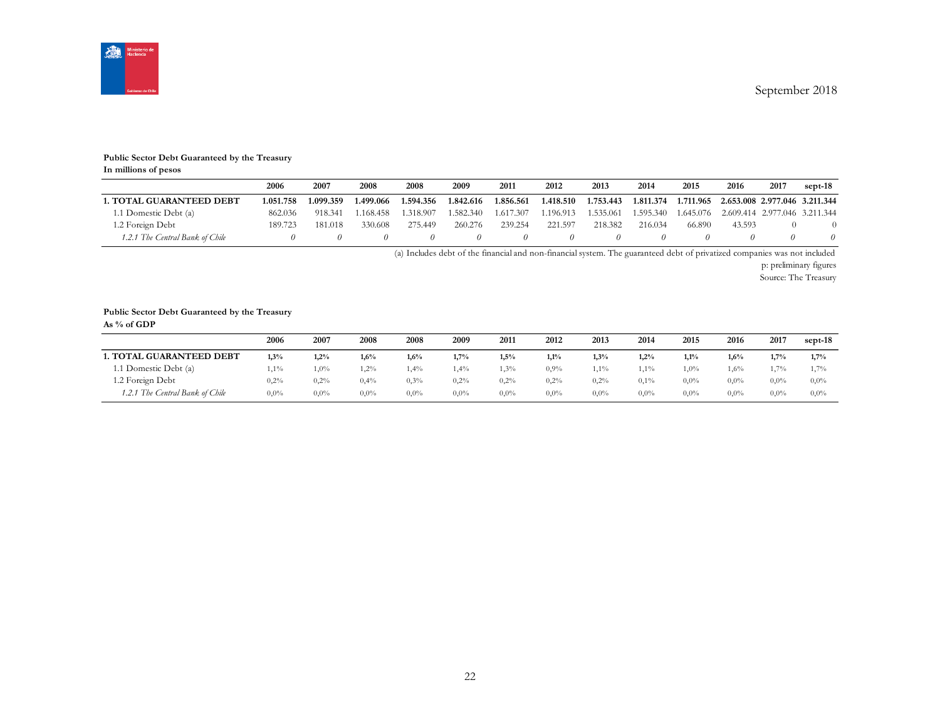

#### **Public Sector Debt Guaranteed by the Treasury**

**In millions of pesos**

|                                 | 2006      | 2007      | 2008      | 2008      | 2009      | 2011      | 2012      | 2013      | 2014      | 2015      | 2016                          | 2017 | sept-18 |
|---------------------------------|-----------|-----------|-----------|-----------|-----------|-----------|-----------|-----------|-----------|-----------|-------------------------------|------|---------|
| <b>1. TOTAL GUARANTEED DEBT</b> | 1.051.758 | 1.099.359 | 1.499.066 | 1.594.356 | 1.842.616 | 1.856.561 | 1.418.510 | 1.753.443 | 1.811.374 | 1.711.965 | 2.653.008 2.977.046 3.211.344 |      |         |
| 1.1 Domestic Debt (a)           | 862.036   | 918.341   | 1.168.458 | 1.318.907 | 1.582.340 | 1.617.307 | 1.196.913 | .535.061  | 1.595.340 | 1.645.076 | 2.609.414 2.977.046 3.211.344 |      |         |
| 1.2 Foreign Debt                | 189.723   | 181.018   | 330.608   | 275.449   | 260.276   | 239.254   | 221.597   | 218.382   | 216.034   | 66.890    | 43.593                        |      |         |
| 1.2.1 The Central Bank of Chile |           |           |           |           |           |           |           |           |           |           |                               |      |         |

(a) Includes debt of the financial and non-financial system. The guaranteed debt of privatized companies was not included

p: preliminary figures

Source: The Treasury

#### **Public Sector Debt Guaranteed by the Treasury**

**As % of GDP**

|                                 | 2006    | 2007    | 2008    | 2008    | 2009    | 2011    | 2012    | 2013    | 2014    | 2015    | 2016    | 2017    | sept-18 |
|---------------------------------|---------|---------|---------|---------|---------|---------|---------|---------|---------|---------|---------|---------|---------|
| <b>1. TOTAL GUARANTEED DEBT</b> | 1,3%    | 1,2%    | 1.6%    | 1,6%    | 1.7%    | 1.5%    | 1,1%    | 1,3%    | 1.2%    | 1.1%    | 1,6%    | 1.7%    | 1.7%    |
| 1.1 Domestic Debt (a)           | $1,1\%$ | $1,0\%$ | $2\%$   | .4%     | 1,4%    | $1,3\%$ | $0.9\%$ | 1,1%    | 1,1%    | 1,0%    | 1,6%    | 1.7%    | 1,7%    |
| 1.2 Foreign Debt                | 0,2%    | 0,2%    | 0,4%    | $0.3\%$ | 0,2%    | 0,2%    | 0,2%    | 0,2%    | $0.1\%$ | $0.0\%$ | $0.0\%$ | $0.0\%$ | $0.0\%$ |
| 1.2.1 The Central Bank of Chile | $0.0\%$ | $0.0\%$ | $0.0\%$ | $0.0\%$ | $0.0\%$ | $0.0\%$ | $0.0\%$ | $0.0\%$ | $0.0\%$ | $0.0\%$ | $0.0\%$ | $0.0\%$ | $0.0\%$ |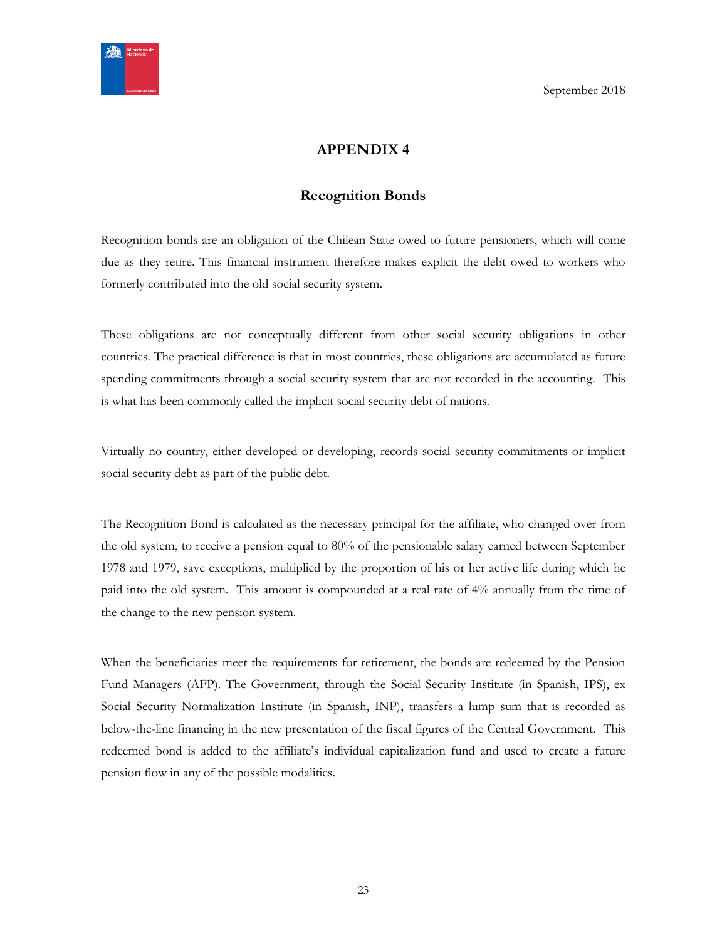<span id="page-22-0"></span>

# **APPENDIX 4**

# **Recognition Bonds**

<span id="page-22-1"></span>Recognition bonds are an obligation of the Chilean State owed to future pensioners, which will come due as they retire. This financial instrument therefore makes explicit the debt owed to workers who formerly contributed into the old social security system.

These obligations are not conceptually different from other social security obligations in other countries. The practical difference is that in most countries, these obligations are accumulated as future spending commitments through a social security system that are not recorded in the accounting. This is what has been commonly called the implicit social security debt of nations.

Virtually no country, either developed or developing, records social security commitments or implicit social security debt as part of the public debt.

The Recognition Bond is calculated as the necessary principal for the affiliate, who changed over from the old system, to receive a pension equal to 80% of the pensionable salary earned between September 1978 and 1979, save exceptions, multiplied by the proportion of his or her active life during which he paid into the old system. This amount is compounded at a real rate of 4% annually from the time of the change to the new pension system.

When the beneficiaries meet the requirements for retirement, the bonds are redeemed by the Pension Fund Managers (AFP). The Government, through the Social Security Institute (in Spanish, IPS), ex Social Security Normalization Institute (in Spanish, INP), transfers a lump sum that is recorded as below-the-line financing in the new presentation of the fiscal figures of the Central Government. This redeemed bond is added to the affiliate's individual capitalization fund and used to create a future pension flow in any of the possible modalities.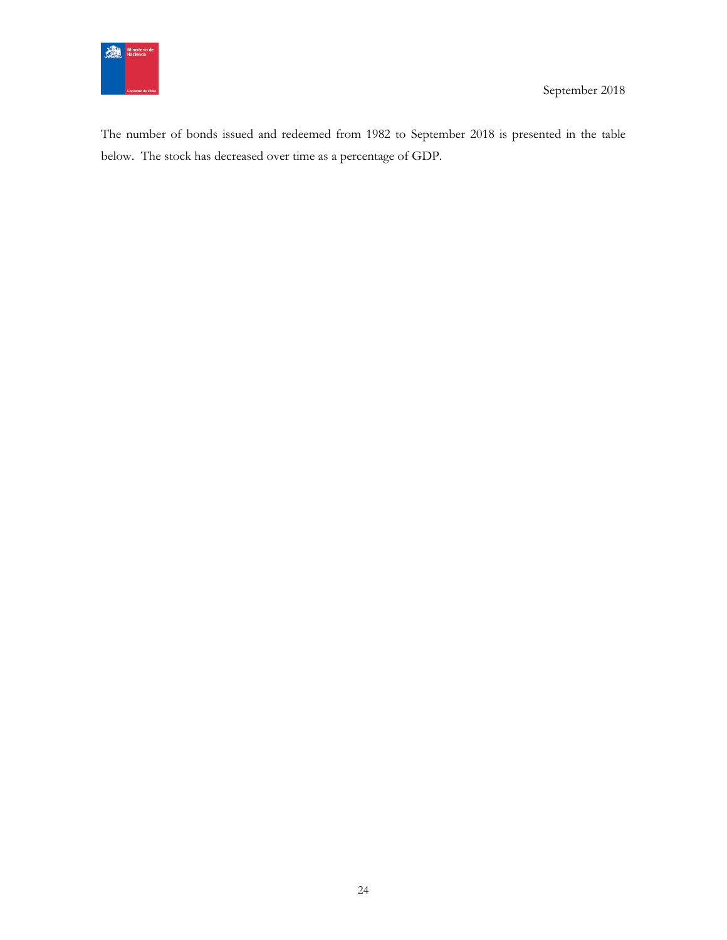

The number of bonds issued and redeemed from 1982 to September 2018 is presented in the table below. The stock has decreased over time as a percentage of GDP.